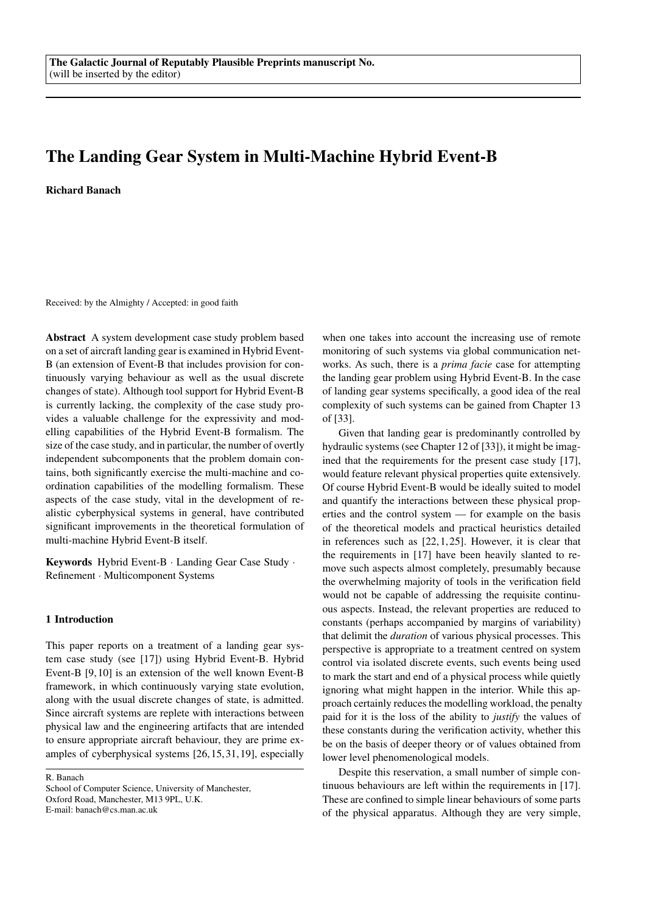# The Landing Gear System in Multi-Machine Hybrid Event-B

Richard Banach

Received: by the Almighty / Accepted: in good faith

Abstract A system development case study problem based on a set of aircraft landing gear is examined in Hybrid Event-B (an extension of Event-B that includes provision for continuously varying behaviour as well as the usual discrete changes of state). Although tool support for Hybrid Event-B is currently lacking, the complexity of the case study provides a valuable challenge for the expressivity and modelling capabilities of the Hybrid Event-B formalism. The size of the case study, and in particular, the number of overtly independent subcomponents that the problem domain contains, both significantly exercise the multi-machine and coordination capabilities of the modelling formalism. These aspects of the case study, vital in the development of realistic cyberphysical systems in general, have contributed significant improvements in the theoretical formulation of multi-machine Hybrid Event-B itself.

Keywords Hybrid Event-B · Landing Gear Case Study · Refinement · Multicomponent Systems

### 1 Introduction

This paper reports on a treatment of a landing gear system case study (see [17]) using Hybrid Event-B. Hybrid Event-B [9, 10] is an extension of the well known Event-B framework, in which continuously varying state evolution, along with the usual discrete changes of state, is admitted. Since aircraft systems are replete with interactions between physical law and the engineering artifacts that are intended to ensure appropriate aircraft behaviour, they are prime examples of cyberphysical systems [26, 15, 31, 19], especially

R. Banach

when one takes into account the increasing use of remote monitoring of such systems via global communication networks. As such, there is a *prima facie* case for attempting the landing gear problem using Hybrid Event-B. In the case of landing gear systems specifically, a good idea of the real complexity of such systems can be gained from Chapter 13 of [33].

Given that landing gear is predominantly controlled by hydraulic systems (see Chapter 12 of [33]), it might be imagined that the requirements for the present case study [17], would feature relevant physical properties quite extensively. Of course Hybrid Event-B would be ideally suited to model and quantify the interactions between these physical properties and the control system — for example on the basis of the theoretical models and practical heuristics detailed in references such as [22, 1, 25]. However, it is clear that the requirements in [17] have been heavily slanted to remove such aspects almost completely, presumably because the overwhelming majority of tools in the verification field would not be capable of addressing the requisite continuous aspects. Instead, the relevant properties are reduced to constants (perhaps accompanied by margins of variability) that delimit the *duration* of various physical processes. This perspective is appropriate to a treatment centred on system control via isolated discrete events, such events being used to mark the start and end of a physical process while quietly ignoring what might happen in the interior. While this approach certainly reduces the modelling workload, the penalty paid for it is the loss of the ability to *justify* the values of these constants during the verification activity, whether this be on the basis of deeper theory or of values obtained from lower level phenomenological models.

Despite this reservation, a small number of simple continuous behaviours are left within the requirements in [17]. These are confined to simple linear behaviours of some parts of the physical apparatus. Although they are very simple,

School of Computer Science, University of Manchester, Oxford Road, Manchester, M13 9PL, U.K. E-mail: banach@cs.man.ac.uk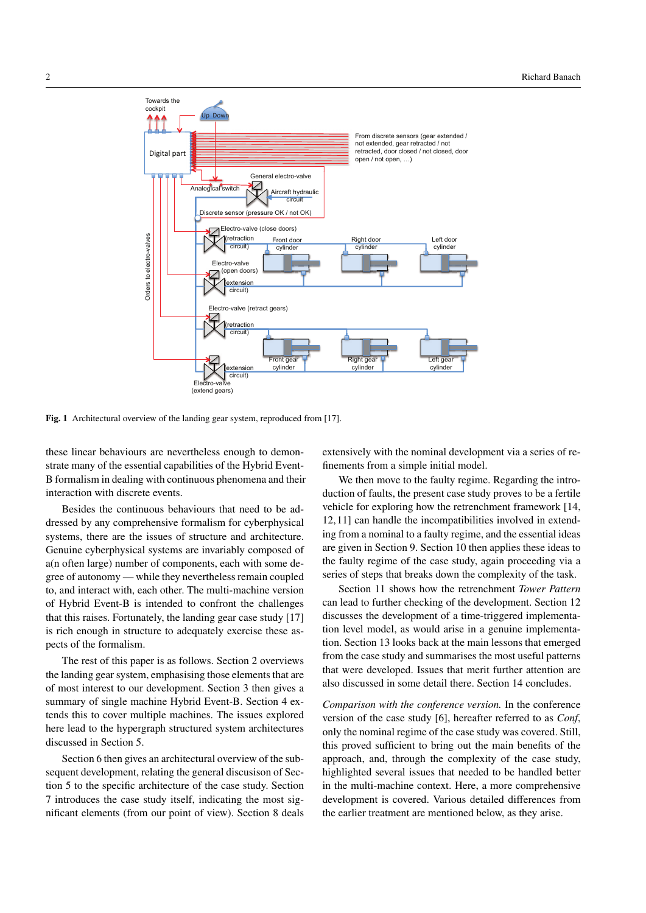

Fig. 1 Architectural overview of the landing gear system, reproduced from [17].

strate many of the essential capabilities of the Hybrid Event-B formalism in dealing with continuous phenomena and their We then move to the faulty regin interaction with discrete events. these linear behaviours are nevertheless enough to demon-

Besides the continuous behaviours that need to be ad $a(n)$  often large) number of components, each with some de-<br>the faulty regime gree of autonomy — while they nevertheless remain coupled series of steps that breaks down the original to, and interact with, each other. The multi-machine version Section 11 shows how the retrer of Hybrid Event-B is intended to confront the challenges is rich enough in structure to adequately exercise these asdressed by any comprehensive formalism for cyberphysical systems, there are the issues of structure and architecture. Genuine cyberphysical systems are invariably composed of that this raises. Fortunately, the landing gear case study [17] pects of the formalism.

The rest of this paper is as follows. Section 2 overviews the landing gear system, emphasising those elements that are of most interest to our development. Section 3 then gives a summary of single machine Hybrid Event-B. Section 4 extends this to cover multiple machines. The issues explored here lead to the hypergraph structured system architectures discussed in Section 5.

Section 6 then gives an architectural overview of the subsequent development, relating the general discusison of Section 5 to the specific architecture of the case study. Section 7 introduces the case study itself, indicating the most significant elements (from our point of view). Section 8 deals

are nevertheless enough to demon-<br>extensively with the nominal development via a series of refinements from a simple initial model.

lous behaviours that need to be ad-<br>vehicle for exploring how the retrenchment framework [14, is issues of structure and architecture, ing from a nominal to a faulty regime, and the essential ideas If systems are invariably composed of are given in Section 9. Section 10 then applies these ideas to the fault in order to prevent above the faulty regime of the case study, again proceeding via a<br>the faulty regime of the case study, again proceeding via a We then move to the faulty regime. Regarding the introduction of faults, the present case study proves to be a fertile 12, 11] can handle the incompatibilities involved in extendseries of steps that breaks down the complexity of the task.

ly, the landing gear case study  $[17]$  discusses the development of a time-triggered implementa-Section 11 shows how the retrenchment *Tower Pattern* can lead to further checking of the development. Section 12 tion level model, as would arise in a genuine implementation. Section 13 looks back at the main lessons that emerged from the case study and summarises the most useful patterns that were developed. Issues that merit further attention are also discussed in some detail there. Section 14 concludes.

> *Comparison with the conference version.* In the conference version of the case study [6], hereafter referred to as *Conf*, only the nominal regime of the case study was covered. Still, this proved sufficient to bring out the main benefits of the approach, and, through the complexity of the case study, highlighted several issues that needed to be handled better in the multi-machine context. Here, a more comprehensive development is covered. Various detailed differences from the earlier treatment are mentioned below, as they arise.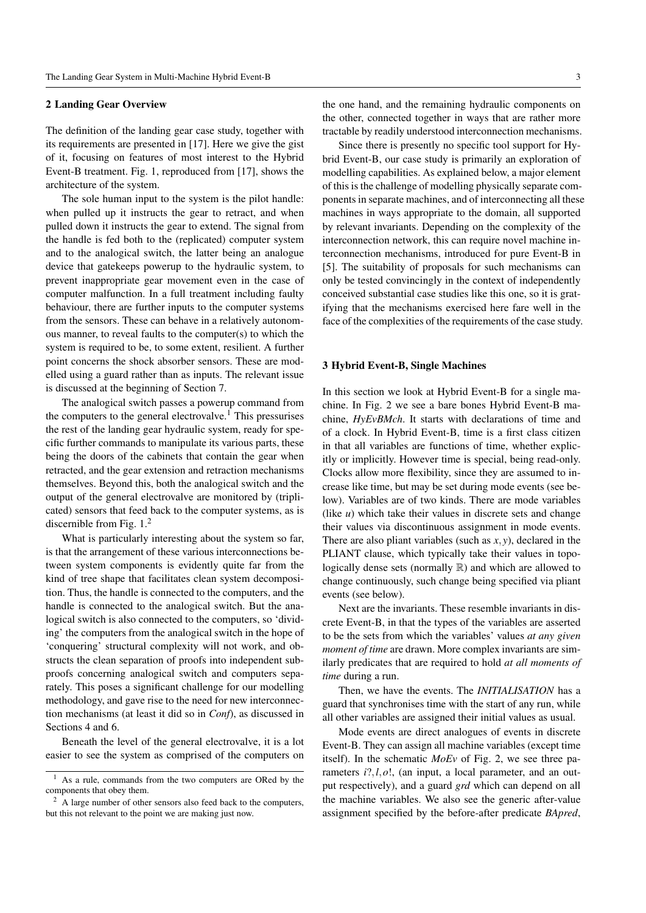## 2 Landing Gear Overview

The definition of the landing gear case study, together with its requirements are presented in [17]. Here we give the gist of it, focusing on features of most interest to the Hybrid Event-B treatment. Fig. 1, reproduced from [17], shows the architecture of the system.

The sole human input to the system is the pilot handle: when pulled up it instructs the gear to retract, and when pulled down it instructs the gear to extend. The signal from the handle is fed both to the (replicated) computer system and to the analogical switch, the latter being an analogue device that gatekeeps powerup to the hydraulic system, to prevent inappropriate gear movement even in the case of computer malfunction. In a full treatment including faulty behaviour, there are further inputs to the computer systems from the sensors. These can behave in a relatively autonomous manner, to reveal faults to the computer(s) to which the system is required to be, to some extent, resilient. A further point concerns the shock absorber sensors. These are modelled using a guard rather than as inputs. The relevant issue is discussed at the beginning of Section 7.

The analogical switch passes a powerup command from the computers to the general electrovalve.<sup>1</sup> This pressurises the rest of the landing gear hydraulic system, ready for specific further commands to manipulate its various parts, these being the doors of the cabinets that contain the gear when retracted, and the gear extension and retraction mechanisms themselves. Beyond this, both the analogical switch and the output of the general electrovalve are monitored by (triplicated) sensors that feed back to the computer systems, as is discernible from Fig. 1.<sup>2</sup>

What is particularly interesting about the system so far, is that the arrangement of these various interconnections between system components is evidently quite far from the kind of tree shape that facilitates clean system decomposition. Thus, the handle is connected to the computers, and the handle is connected to the analogical switch. But the analogical switch is also connected to the computers, so 'dividing' the computers from the analogical switch in the hope of 'conquering' structural complexity will not work, and obstructs the clean separation of proofs into independent subproofs concerning analogical switch and computers separately. This poses a significant challenge for our modelling methodology, and gave rise to the need for new interconnection mechanisms (at least it did so in *Conf*), as discussed in Sections 4 and 6.

Beneath the level of the general electrovalve, it is a lot easier to see the system as comprised of the computers on the one hand, and the remaining hydraulic components on the other, connected together in ways that are rather more tractable by readily understood interconnection mechanisms.

Since there is presently no specific tool support for Hybrid Event-B, our case study is primarily an exploration of modelling capabilities. As explained below, a major element of this is the challenge of modelling physically separate components in separate machines, and of interconnecting all these machines in ways appropriate to the domain, all supported by relevant invariants. Depending on the complexity of the interconnection network, this can require novel machine interconnection mechanisms, introduced for pure Event-B in [5]. The suitability of proposals for such mechanisms can only be tested convincingly in the context of independently conceived substantial case studies like this one, so it is gratifying that the mechanisms exercised here fare well in the face of the complexities of the requirements of the case study.

## 3 Hybrid Event-B, Single Machines

In this section we look at Hybrid Event-B for a single machine. In Fig. 2 we see a bare bones Hybrid Event-B machine, *HyEvBMch*. It starts with declarations of time and of a clock. In Hybrid Event-B, time is a first class citizen in that all variables are functions of time, whether explicitly or implicitly. However time is special, being read-only. Clocks allow more flexibility, since they are assumed to increase like time, but may be set during mode events (see below). Variables are of two kinds. There are mode variables (like *u*) which take their values in discrete sets and change their values via discontinuous assignment in mode events. There are also pliant variables (such as *x*, *y*), declared in the PLIANT clause, which typically take their values in topologically dense sets (normally  $\mathbb{R}$ ) and which are allowed to change continuously, such change being specified via pliant events (see below).

Next are the invariants. These resemble invariants in discrete Event-B, in that the types of the variables are asserted to be the sets from which the variables' values *at any given moment of time* are drawn. More complex invariants are similarly predicates that are required to hold *at all moments of time* during a run.

Then, we have the events. The *INITIALISATION* has a guard that synchronises time with the start of any run, while all other variables are assigned their initial values as usual.

Mode events are direct analogues of events in discrete Event-B. They can assign all machine variables (except time itself). In the schematic *MoEv* of Fig. 2, we see three parameters *i*?,*l*,*o*!, (an input, a local parameter, and an output respectively), and a guard *grd* which can depend on all the machine variables. We also see the generic after-value assignment specified by the before-after predicate *BApred*,

<sup>1</sup> As a rule, commands from the two computers are ORed by the components that obey them.

<sup>2</sup> A large number of other sensors also feed back to the computers, but this not relevant to the point we are making just now.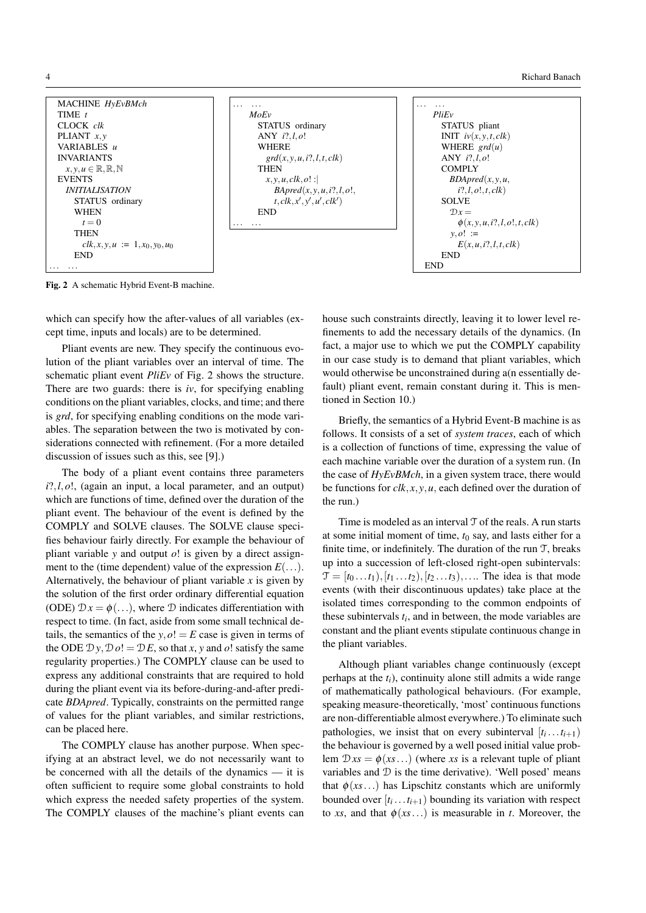4 Richard Banach



Fig. 2 A schematic Hybrid Event-B machine.

which can specify how the after-values of all variables (except time, inputs and locals) are to be determined.

Pliant events are new. They specify the continuous evolution of the pliant variables over an interval of time. The schematic pliant event *PliEv* of Fig. 2 shows the structure. There are two guards: there is *iv*, for specifying enabling conditions on the pliant variables, clocks, and time; and there is *grd*, for specifying enabling conditions on the mode variables. The separation between the two is motivated by considerations connected with refinement. (For a more detailed discussion of issues such as this, see [9].)

The body of a pliant event contains three parameters *i*?,*l*,*o*!, (again an input, a local parameter, and an output) which are functions of time, defined over the duration of the pliant event. The behaviour of the event is defined by the COMPLY and SOLVE clauses. The SOLVE clause specifies behaviour fairly directly. For example the behaviour of pliant variable *y* and output  $\rho$ ! is given by a direct assignment to the (time dependent) value of the expression  $E(\ldots)$ . Alternatively, the behaviour of pliant variable  $x$  is given by the solution of the first order ordinary differential equation (ODE)  $\mathcal{D}x = \phi(...)$ , where  $\mathcal D$  indicates differentiation with respect to time. (In fact, aside from some small technical details, the semantics of the  $y$ ,  $o! = E$  case is given in terms of the ODE  $\mathcal{D}y$ ,  $\mathcal{D}o! = \mathcal{D}E$ , so that *x*, *y* and *o*! satisfy the same regularity properties.) The COMPLY clause can be used to express any additional constraints that are required to hold during the pliant event via its before-during-and-after predicate *BDApred*. Typically, constraints on the permitted range of values for the pliant variables, and similar restrictions, can be placed here.

The COMPLY clause has another purpose. When specifying at an abstract level, we do not necessarily want to be concerned with all the details of the dynamics — it is often sufficient to require some global constraints to hold which express the needed safety properties of the system. The COMPLY clauses of the machine's pliant events can house such constraints directly, leaving it to lower level refinements to add the necessary details of the dynamics. (In fact, a major use to which we put the COMPLY capability in our case study is to demand that pliant variables, which would otherwise be unconstrained during a(n essentially default) pliant event, remain constant during it. This is mentioned in Section 10.)

Briefly, the semantics of a Hybrid Event-B machine is as follows. It consists of a set of *system traces*, each of which is a collection of functions of time, expressing the value of each machine variable over the duration of a system run. (In the case of *HyEvBMch*, in a given system trace, there would be functions for *clk*, *x*, *y*,*u*, each defined over the duration of the run.)

Time is modeled as an interval  $\mathcal T$  of the reals. A run starts at some initial moment of time,  $t_0$  say, and lasts either for a finite time, or indefinitely. The duration of the run T, breaks up into a succession of left-closed right-open subintervals:  $\mathcal{T} = [t_0 \dots t_1), [t_1 \dots t_2), [t_2 \dots t_3), \dots$  The idea is that mode events (with their discontinuous updates) take place at the isolated times corresponding to the common endpoints of these subintervals  $t_i$ , and in between, the mode variables are constant and the pliant events stipulate continuous change in the pliant variables.

Although pliant variables change continuously (except perhaps at the *ti*), continuity alone still admits a wide range of mathematically pathological behaviours. (For example, speaking measure-theoretically, 'most' continuous functions are non-differentiable almost everywhere.) To eliminate such pathologies, we insist that on every subinterval  $[t_i \dots t_{i+1}]$ the behaviour is governed by a well posed initial value problem  $Dxs = \phi(xs...)$  (where *xs* is a relevant tuple of pliant variables and  $D$  is the time derivative). 'Well posed' means that  $\phi(x_s...)$  has Lipschitz constants which are uniformly bounded over  $[t_i \dots t_{i+1})$  bounding its variation with respect to *xs*, and that  $\phi$ (*xs*...) is measurable in *t*. Moreover, the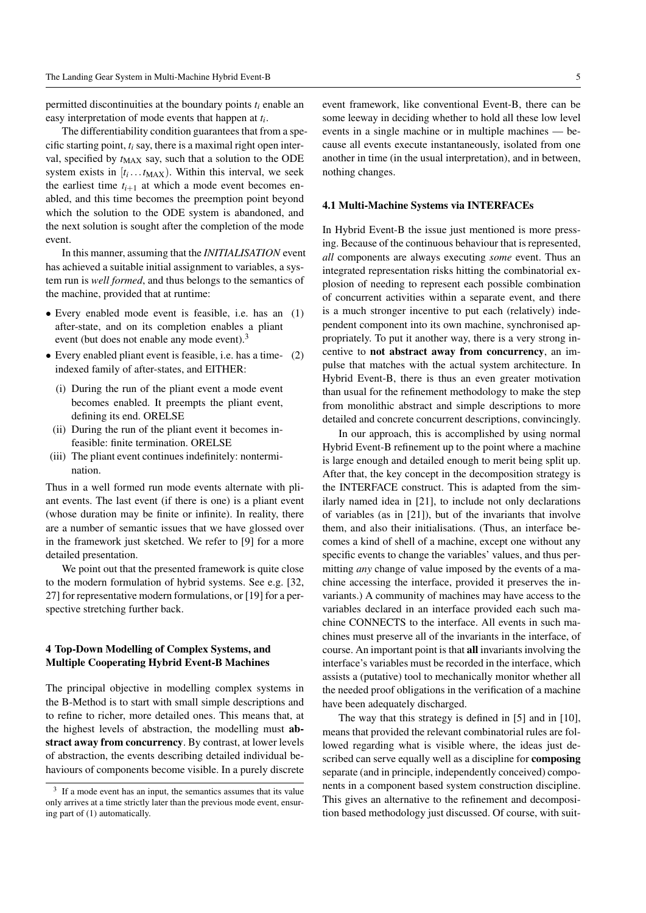permitted discontinuities at the boundary points *t<sup>i</sup>* enable an easy interpretation of mode events that happen at *t<sup>i</sup>* .

The differentiability condition guarantees that from a specific starting point, *t<sup>i</sup>* say, there is a maximal right open interval, specified by  $t_{MAX}$  say, such that a solution to the ODE system exists in  $[t_i \dots t_{MAX})$ . Within this interval, we seek the earliest time  $t_{i+1}$  at which a mode event becomes enabled, and this time becomes the preemption point beyond which the solution to the ODE system is abandoned, and the next solution is sought after the completion of the mode event.

In this manner, assuming that the *INITIALISATION* event has achieved a suitable initial assignment to variables, a system run is *well formed*, and thus belongs to the semantics of the machine, provided that at runtime:

- Every enabled mode event is feasible, i.e. has an (1) after-state, and on its completion enables a pliant event (but does not enable any mode event).<sup>3</sup>
- Every enabled pliant event is feasible, i.e. has a time-(2) indexed family of after-states, and EITHER:
	- (i) During the run of the pliant event a mode event becomes enabled. It preempts the pliant event, defining its end. ORELSE
- (ii) During the run of the pliant event it becomes infeasible: finite termination. ORELSE
- (iii) The pliant event continues indefinitely: nontermination.

Thus in a well formed run mode events alternate with pliant events. The last event (if there is one) is a pliant event (whose duration may be finite or infinite). In reality, there are a number of semantic issues that we have glossed over in the framework just sketched. We refer to [9] for a more detailed presentation.

We point out that the presented framework is quite close to the modern formulation of hybrid systems. See e.g. [32, 27] for representative modern formulations, or [19] for a perspective stretching further back.

# 4 Top-Down Modelling of Complex Systems, and Multiple Cooperating Hybrid Event-B Machines

The principal objective in modelling complex systems in the B-Method is to start with small simple descriptions and to refine to richer, more detailed ones. This means that, at the highest levels of abstraction, the modelling must abstract away from concurrency. By contrast, at lower levels of abstraction, the events describing detailed individual behaviours of components become visible. In a purely discrete

event framework, like conventional Event-B, there can be some leeway in deciding whether to hold all these low level events in a single machine or in multiple machines — because all events execute instantaneously, isolated from one another in time (in the usual interpretation), and in between, nothing changes.

# 4.1 Multi-Machine Systems via INTERFACEs

In Hybrid Event-B the issue just mentioned is more pressing. Because of the continuous behaviour that is represented, *all* components are always executing *some* event. Thus an integrated representation risks hitting the combinatorial explosion of needing to represent each possible combination of concurrent activities within a separate event, and there is a much stronger incentive to put each (relatively) independent component into its own machine, synchronised appropriately. To put it another way, there is a very strong incentive to not abstract away from concurrency, an impulse that matches with the actual system architecture. In Hybrid Event-B, there is thus an even greater motivation than usual for the refinement methodology to make the step from monolithic abstract and simple descriptions to more detailed and concrete concurrent descriptions, convincingly.

In our approach, this is accomplished by using normal Hybrid Event-B refinement up to the point where a machine is large enough and detailed enough to merit being split up. After that, the key concept in the decomposition strategy is the INTERFACE construct. This is adapted from the similarly named idea in [21], to include not only declarations of variables (as in [21]), but of the invariants that involve them, and also their initialisations. (Thus, an interface becomes a kind of shell of a machine, except one without any specific events to change the variables' values, and thus permitting *any* change of value imposed by the events of a machine accessing the interface, provided it preserves the invariants.) A community of machines may have access to the variables declared in an interface provided each such machine CONNECTS to the interface. All events in such machines must preserve all of the invariants in the interface, of course. An important point is that all invariants involving the interface's variables must be recorded in the interface, which assists a (putative) tool to mechanically monitor whether all the needed proof obligations in the verification of a machine have been adequately discharged.

The way that this strategy is defined in [5] and in [10], means that provided the relevant combinatorial rules are followed regarding what is visible where, the ideas just described can serve equally well as a discipline for composing separate (and in principle, independently conceived) components in a component based system construction discipline. This gives an alternative to the refinement and decomposition based methodology just discussed. Of course, with suit-

<sup>3</sup> If a mode event has an input, the semantics assumes that its value only arrives at a time strictly later than the previous mode event, ensuring part of (1) automatically.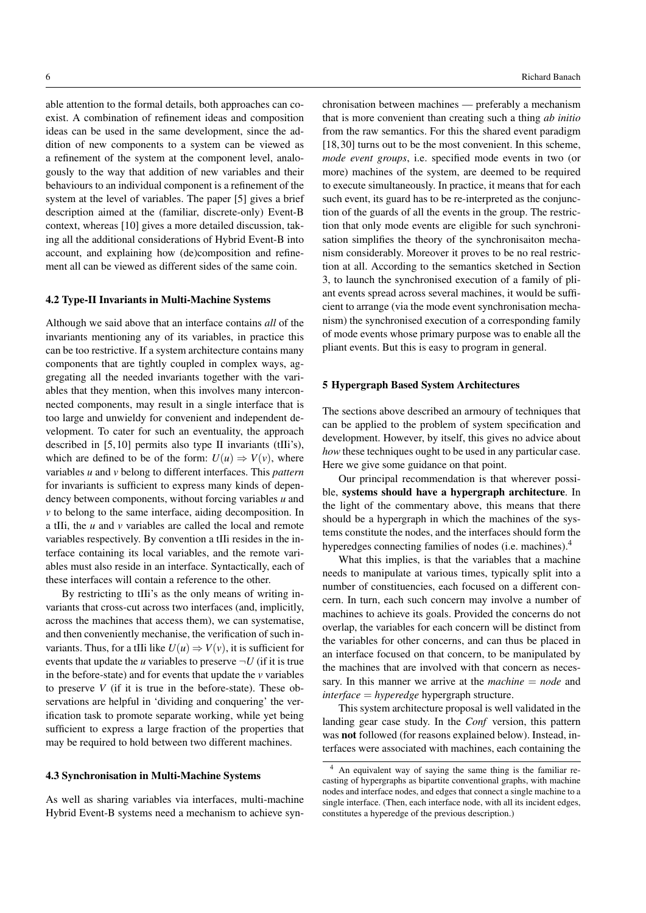able attention to the formal details, both approaches can coexist. A combination of refinement ideas and composition ideas can be used in the same development, since the addition of new components to a system can be viewed as a refinement of the system at the component level, analogously to the way that addition of new variables and their behaviours to an individual component is a refinement of the system at the level of variables. The paper [5] gives a brief description aimed at the (familiar, discrete-only) Event-B context, whereas [10] gives a more detailed discussion, taking all the additional considerations of Hybrid Event-B into account, and explaining how (de)composition and refinement all can be viewed as different sides of the same coin.

#### 4.2 Type-II Invariants in Multi-Machine Systems

Although we said above that an interface contains *all* of the invariants mentioning any of its variables, in practice this can be too restrictive. If a system architecture contains many components that are tightly coupled in complex ways, aggregating all the needed invariants together with the variables that they mention, when this involves many interconnected components, may result in a single interface that is too large and unwieldy for convenient and independent development. To cater for such an eventuality, the approach described in [5, 10] permits also type II invariants (tIIi's), which are defined to be of the form:  $U(u) \Rightarrow V(v)$ , where variables *u* and *v* belong to different interfaces. This *pattern* for invariants is sufficient to express many kinds of dependency between components, without forcing variables *u* and *v* to belong to the same interface, aiding decomposition. In a tIIi, the *u* and *v* variables are called the local and remote variables respectively. By convention a tIIi resides in the interface containing its local variables, and the remote variables must also reside in an interface. Syntactically, each of these interfaces will contain a reference to the other.

By restricting to tIIi's as the only means of writing invariants that cross-cut across two interfaces (and, implicitly, across the machines that access them), we can systematise, and then conveniently mechanise, the verification of such invariants. Thus, for a tIIi like  $U(u) \Rightarrow V(v)$ , it is sufficient for events that update the *u* variables to preserve  $\neg U$  (if it is true in the before-state) and for events that update the *v* variables to preserve *V* (if it is true in the before-state). These observations are helpful in 'dividing and conquering' the verification task to promote separate working, while yet being sufficient to express a large fraction of the properties that may be required to hold between two different machines.

#### 4.3 Synchronisation in Multi-Machine Systems

As well as sharing variables via interfaces, multi-machine Hybrid Event-B systems need a mechanism to achieve synchronisation between machines — preferably a mechanism that is more convenient than creating such a thing *ab initio* from the raw semantics. For this the shared event paradigm [18, 30] turns out to be the most convenient. In this scheme, *mode event groups*, i.e. specified mode events in two (or more) machines of the system, are deemed to be required to execute simultaneously. In practice, it means that for each such event, its guard has to be re-interpreted as the conjunction of the guards of all the events in the group. The restriction that only mode events are eligible for such synchronisation simplifies the theory of the synchronisaiton mechanism considerably. Moreover it proves to be no real restriction at all. According to the semantics sketched in Section 3, to launch the synchronised execution of a family of pliant events spread across several machines, it would be sufficient to arrange (via the mode event synchronisation mechanism) the synchronised execution of a corresponding family of mode events whose primary purpose was to enable all the pliant events. But this is easy to program in general.

#### 5 Hypergraph Based System Architectures

The sections above described an armoury of techniques that can be applied to the problem of system specification and development. However, by itself, this gives no advice about *how* these techniques ought to be used in any particular case. Here we give some guidance on that point.

Our principal recommendation is that wherever possible, systems should have a hypergraph architecture. In the light of the commentary above, this means that there should be a hypergraph in which the machines of the systems constitute the nodes, and the interfaces should form the hyperedges connecting families of nodes (i.e. machines).<sup>4</sup>

What this implies, is that the variables that a machine needs to manipulate at various times, typically split into a number of constituencies, each focused on a different concern. In turn, each such concern may involve a number of machines to achieve its goals. Provided the concerns do not overlap, the variables for each concern will be distinct from the variables for other concerns, and can thus be placed in an interface focused on that concern, to be manipulated by the machines that are involved with that concern as necessary. In this manner we arrive at the *machine* = *node* and *interface* = *hyperedge* hypergraph structure.

This system architecture proposal is well validated in the landing gear case study. In the *Conf* version, this pattern was not followed (for reasons explained below). Instead, interfaces were associated with machines, each containing the

<sup>4</sup> An equivalent way of saying the same thing is the familiar recasting of hypergraphs as bipartite conventional graphs, with machine nodes and interface nodes, and edges that connect a single machine to a single interface. (Then, each interface node, with all its incident edges, constitutes a hyperedge of the previous description.)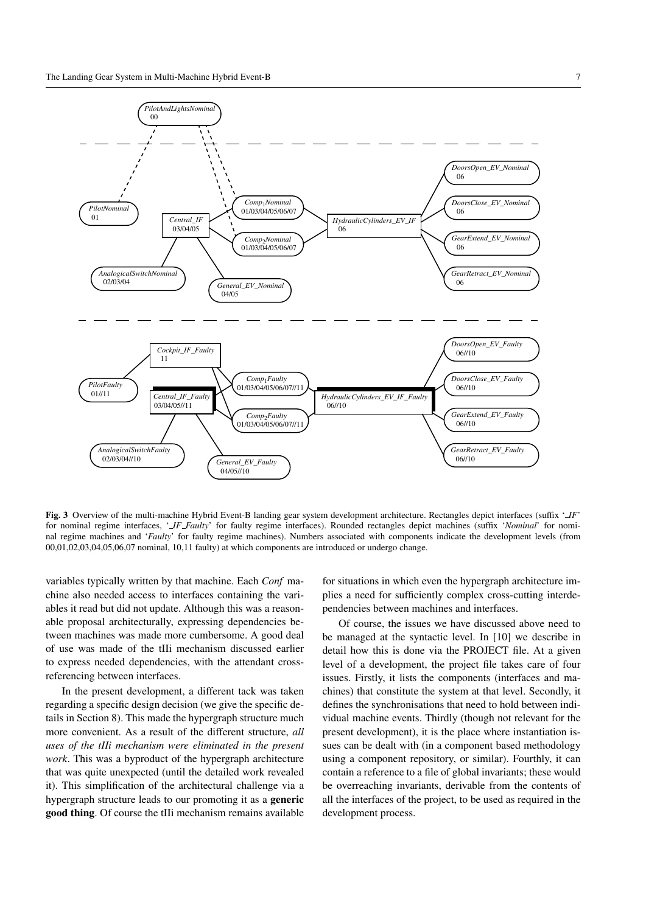

Fig. 3 Overview of the multi-machine Hybrid Event-B landing gear system development architecture. Rectangles depict interfaces (suffix '*IF*' for nominal regime interfaces, '*IF\_Faulty'* for faulty regime interfaces). Rounded rectangles depict machines (suffix '*Nominal'* for nominal regime machines and '*Faulty*' for faulty regime machines). Numbers associated with components indicate the development levels (from 00,01,02,03,04,05,06,07 nominal, 10,11 faulty) at which components are introduced or undergo change.

*Gear Retract*

0 able proposal architecturally, expressing dependencies beof use was made of the tIIi mechanism discussed earlier ables it read but did not update. Although this was a reason-<br>
pendencies between machines and in variables typically written by that machine. Each *Conf* machine also needed access to interfaces containing the varitween machines was made more cumbersome. A good deal to express needed dependencies, with the attendant crossreferencing between interfaces.

more convenient. As a result of the direction structure, and pressures of the tIIi mechanism were eliminated in the present sues tails in Section 8). This made the hypergraph structure much vidual made In the present development, a different tack was taken regarding a specific design decision (we give the specific demore convenient. As a result of the different structure, *all work*. This was a byproduct of the hypergraph architecture that was quite unexpected (until the detailed work revealed it). This simplification of the architectural challenge via a hypergraph structure leads to our promoting it as a generic good thing. Of course the tIIi mechanism remains available

access to interfaces containing the vari-<br>plies a need for sufficiently complex cross-cutting interde*clk\_Handle* pendencies between machines and interfaces. for situations in which even the hypergraph architecture im-

**c**<br>sues can be dealt with (in a component based methodology hachines was made more cumbersome. A good deal be managed at the syntactic level. In [10] we describe in Of course, the issues we have discussed above need to detail how this is done via the PROJECT file. At a given level of a development, the project file takes care of four issues. Firstly, it lists the components (interfaces and machines) that constitute the system at that level. Secondly, it defines the synchronisations that need to hold between individual machine events. Thirdly (though not relevant for the present development), it is the place where instantiation isusing a component repository, or similar). Fourthly, it can contain a reference to a file of global invariants; these would be overreaching invariants, derivable from the contents of all the interfaces of the project, to be used as required in the development process.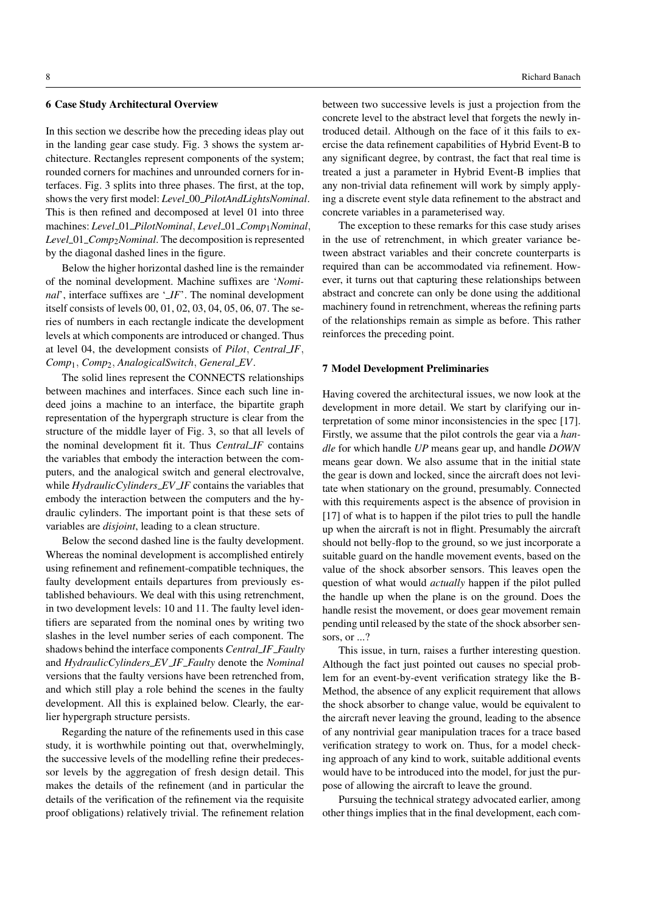# 6 Case Study Architectural Overview

In this section we describe how the preceding ideas play out in the landing gear case study. Fig. 3 shows the system architecture. Rectangles represent components of the system; rounded corners for machines and unrounded corners for interfaces. Fig. 3 splits into three phases. The first, at the top, shows the very first model: *Level* 00 *PilotAndLightsNominal*. This is then refined and decomposed at level 01 into three machines: *Level* 01 *PilotNominal*, *Level* 01 *Comp*1*Nominal*, *Level* 01 *Comp*2*Nominal*. The decomposition is represented by the diagonal dashed lines in the figure.

Below the higher horizontal dashed line is the remainder of the nominal development. Machine suffixes are '*Nominal*', interface suffixes are '*IF*'. The nominal development itself consists of levels 00, 01, 02, 03, 04, 05, 06, 07. The series of numbers in each rectangle indicate the development levels at which components are introduced or changed. Thus at level 04, the development consists of *Pilot*, *Central\_IF*, *Comp*1, *Comp*2, *AnalogicalSwitch*, *General EV*.

The solid lines represent the CONNECTS relationships between machines and interfaces. Since each such line indeed joins a machine to an interface, the bipartite graph representation of the hypergraph structure is clear from the structure of the middle layer of Fig. 3, so that all levels of the nominal development fit it. Thus *Central IF* contains the variables that embody the interaction between the computers, and the analogical switch and general electrovalve, while *HydraulicCylinders EV IF* contains the variables that embody the interaction between the computers and the hydraulic cylinders. The important point is that these sets of variables are *disjoint*, leading to a clean structure.

Below the second dashed line is the faulty development. Whereas the nominal development is accomplished entirely using refinement and refinement-compatible techniques, the faulty development entails departures from previously established behaviours. We deal with this using retrenchment, in two development levels: 10 and 11. The faulty level identifiers are separated from the nominal ones by writing two slashes in the level number series of each component. The shadows behind the interface components *Central IF Faulty* and *HydraulicCylinders EV IF Faulty* denote the *Nominal* versions that the faulty versions have been retrenched from, and which still play a role behind the scenes in the faulty development. All this is explained below. Clearly, the earlier hypergraph structure persists.

Regarding the nature of the refinements used in this case study, it is worthwhile pointing out that, overwhelmingly, the successive levels of the modelling refine their predecessor levels by the aggregation of fresh design detail. This makes the details of the refinement (and in particular the details of the verification of the refinement via the requisite proof obligations) relatively trivial. The refinement relation between two successive levels is just a projection from the concrete level to the abstract level that forgets the newly introduced detail. Although on the face of it this fails to exercise the data refinement capabilities of Hybrid Event-B to any significant degree, by contrast, the fact that real time is treated a just a parameter in Hybrid Event-B implies that any non-trivial data refinement will work by simply applying a discrete event style data refinement to the abstract and concrete variables in a parameterised way.

The exception to these remarks for this case study arises in the use of retrenchment, in which greater variance between abstract variables and their concrete counterparts is required than can be accommodated via refinement. However, it turns out that capturing these relationships between abstract and concrete can only be done using the additional machinery found in retrenchment, whereas the refining parts of the relationships remain as simple as before. This rather reinforces the preceding point.

#### 7 Model Development Preliminaries

Having covered the architectural issues, we now look at the development in more detail. We start by clarifying our interpretation of some minor inconsistencies in the spec [17]. Firstly, we assume that the pilot controls the gear via a *handle* for which handle *UP* means gear up, and handle *DOWN* means gear down. We also assume that in the initial state the gear is down and locked, since the aircraft does not levitate when stationary on the ground, presumably. Connected with this requirements aspect is the absence of provision in [17] of what is to happen if the pilot tries to pull the handle up when the aircraft is not in flight. Presumably the aircraft should not belly-flop to the ground, so we just incorporate a suitable guard on the handle movement events, based on the value of the shock absorber sensors. This leaves open the question of what would *actually* happen if the pilot pulled the handle up when the plane is on the ground. Does the handle resist the movement, or does gear movement remain pending until released by the state of the shock absorber sensors, or ...?

This issue, in turn, raises a further interesting question. Although the fact just pointed out causes no special problem for an event-by-event verification strategy like the B-Method, the absence of any explicit requirement that allows the shock absorber to change value, would be equivalent to the aircraft never leaving the ground, leading to the absence of any nontrivial gear manipulation traces for a trace based verification strategy to work on. Thus, for a model checking approach of any kind to work, suitable additional events would have to be introduced into the model, for just the purpose of allowing the aircraft to leave the ground.

Pursuing the technical strategy advocated earlier, among other things implies that in the final development, each com-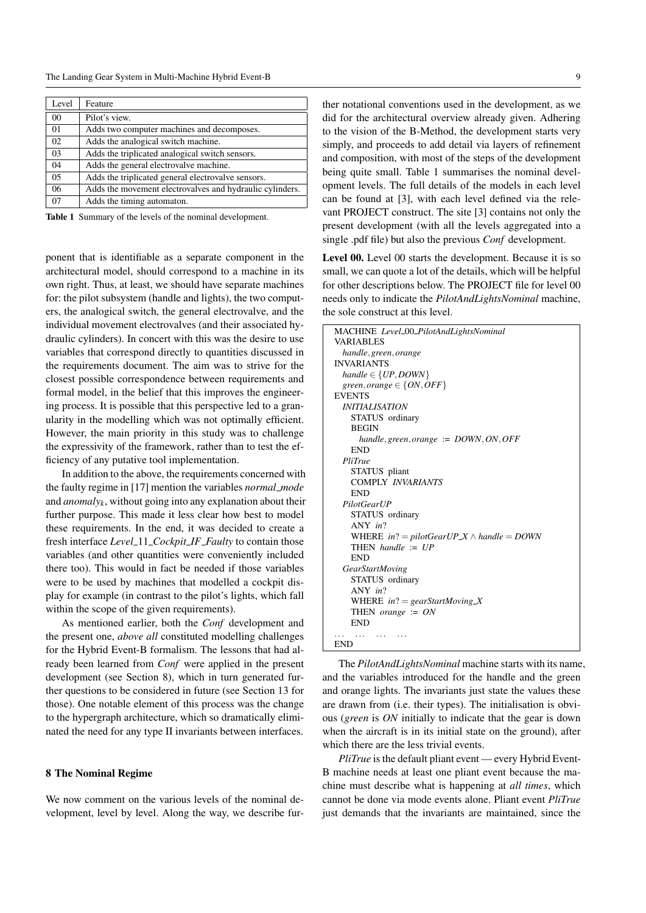| Level          | Feature                                                  |
|----------------|----------------------------------------------------------|
| 0 <sub>0</sub> | Pilot's view.                                            |
| 01             | Adds two computer machines and decomposes.               |
| 02             | Adds the analogical switch machine.                      |
| 03             | Adds the triplicated analogical switch sensors.          |
| 04             | Adds the general electrovalve machine.                   |
| 0.5            | Adds the triplicated general electrovalve sensors.       |
| 06             | Adds the movement electrovalves and hydraulic cylinders. |
| 07             | Adds the timing automaton.                               |

Table 1 Summary of the levels of the nominal development.

ponent that is identifiable as a separate component in the architectural model, should correspond to a machine in its own right. Thus, at least, we should have separate machines for: the pilot subsystem (handle and lights), the two computers, the analogical switch, the general electrovalve, and the individual movement electrovalves (and their associated hydraulic cylinders). In concert with this was the desire to use variables that correspond directly to quantities discussed in the requirements document. The aim was to strive for the closest possible correspondence between requirements and formal model, in the belief that this improves the engineering process. It is possible that this perspective led to a granularity in the modelling which was not optimally efficient. However, the main priority in this study was to challenge the expressivity of the framework, rather than to test the efficiency of any putative tool implementation.

In addition to the above, the requirements concerned with the faulty regime in [17] mention the variables *normal mode* and  $anomaly<sub>k</sub>$ , without going into any explanation about their further purpose. This made it less clear how best to model these requirements. In the end, it was decided to create a fresh interface *Level\_11\_Cockpit\_IF\_Faulty* to contain those variables (and other quantities were conveniently included there too). This would in fact be needed if those variables were to be used by machines that modelled a cockpit display for example (in contrast to the pilot's lights, which fall within the scope of the given requirements).

As mentioned earlier, both the *Conf* development and the present one, *above all* constituted modelling challenges for the Hybrid Event-B formalism. The lessons that had already been learned from *Conf* were applied in the present development (see Section 8), which in turn generated further questions to be considered in future (see Section 13 for those). One notable element of this process was the change to the hypergraph architecture, which so dramatically eliminated the need for any type II invariants between interfaces.

# 8 The Nominal Regime

We now comment on the various levels of the nominal development, level by level. Along the way, we describe further notational conventions used in the development, as we did for the architectural overview already given. Adhering to the vision of the B-Method, the development starts very simply, and proceeds to add detail via layers of refinement and composition, with most of the steps of the development being quite small. Table 1 summarises the nominal development levels. The full details of the models in each level can be found at [3], with each level defined via the relevant PROJECT construct. The site [3] contains not only the present development (with all the levels aggregated into a single .pdf file) but also the previous *Conf* development.

Level 00. Level 00 starts the development. Because it is so small, we can quote a lot of the details, which will be helpful for other descriptions below. The PROJECT file for level 00 needs only to indicate the *PilotAndLightsNominal* machine, the sole construct at this level.

| MACHINE Level_00_PilotAndLightsNominal           |
|--------------------------------------------------|
| <b>VARIABLES</b>                                 |
| handle, green, orange                            |
| <b>INVARIANTS</b>                                |
| handle $\in \{UP,DOWN\}$                         |
| green, orange $\in \{ON, OFF\}$                  |
| <b>EVENTS</b>                                    |
| <i><b>INITIALISATION</b></i>                     |
| STATUS ordinary                                  |
| <b>BEGIN</b>                                     |
| $handle, green, orange := DOMN, ON, OFF$         |
| <b>END</b>                                       |
| PliTrue                                          |
| STATUS pliant                                    |
| COMPLY INVARIANTS                                |
| <b>END</b>                                       |
| PilotGearUP                                      |
| STATUS ordinary                                  |
| $ANY \in n?$                                     |
| WHERE $in? = pilotGearUP_X \wedge handle = DOWN$ |
| THEN handle $:= UP$                              |
| <b>END</b>                                       |
| <b>GearStartMoving</b>                           |
| STATUS ordinary                                  |
| $ANY \in in?$                                    |
| WHERE $in? = gearStartMoving.X$                  |
| THEN <i>orange</i> := $ON$                       |
| <b>END</b>                                       |
|                                                  |
| <b>END</b>                                       |

The *PilotAndLightsNominal* machine starts with its name, and the variables introduced for the handle and the green and orange lights. The invariants just state the values these are drawn from (i.e. their types). The initialisation is obvious (*green* is *ON* initially to indicate that the gear is down when the aircraft is in its initial state on the ground), after which there are the less trivial events.

*PliTrue* is the default pliant event — every Hybrid Event-B machine needs at least one pliant event because the machine must describe what is happening at *all times*, which cannot be done via mode events alone. Pliant event *PliTrue* just demands that the invariants are maintained, since the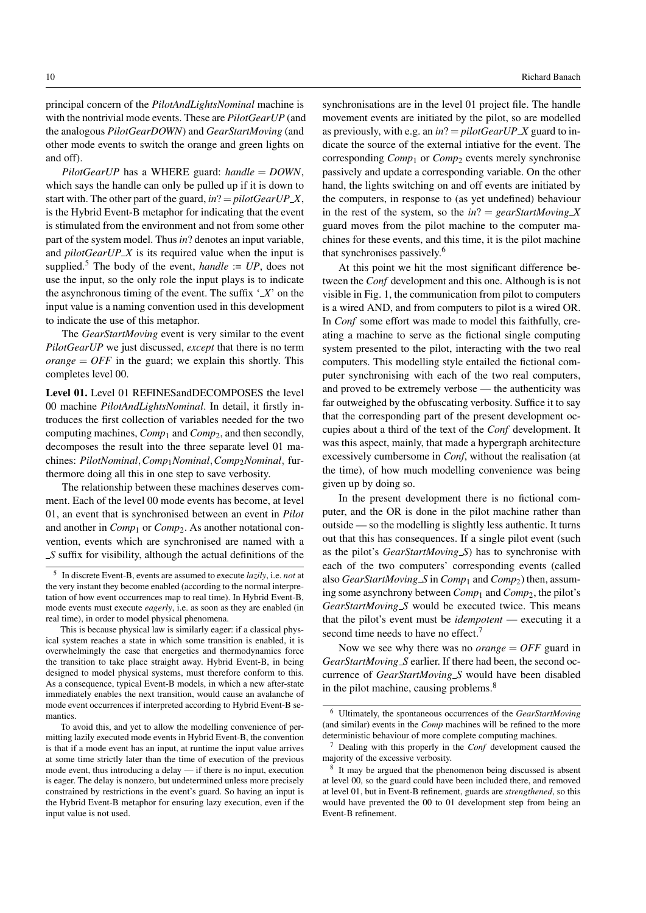principal concern of the *PilotAndLightsNominal* machine is with the nontrivial mode events. These are *PilotGearUP* (and the analogous *PilotGearDOWN*) and *GearStartMoving* (and other mode events to switch the orange and green lights on and off).

*PilotGearUP* has a WHERE guard: *handle* = *DOWN*, which says the handle can only be pulled up if it is down to start with. The other part of the guard,  $in? = pilotGearUP_X$ , is the Hybrid Event-B metaphor for indicating that the event is stimulated from the environment and not from some other part of the system model. Thus *in*? denotes an input variable, and *pilotGearUP\_X* is its required value when the input is supplied.<sup>5</sup> The body of the event, *handle* :=  $UP$ , does not use the input, so the only role the input plays is to indicate the asynchronous timing of the event. The suffix '<sub>*X*</sub>' on the input value is a naming convention used in this development to indicate the use of this metaphor.

The *GearStartMoving* event is very similar to the event *PilotGearUP* we just discussed, *except* that there is no term  $orange = OFF$  in the guard; we explain this shortly. This completes level 00.

Level 01. Level 01 REFINESandDECOMPOSES the level 00 machine *PilotAndLightsNominal*. In detail, it firstly introduces the first collection of variables needed for the two computing machines, *Comp*<sup>1</sup> and *Comp*2, and then secondly, decomposes the result into the three separate level 01 machines: *PilotNominal*,*Comp*1*Nominal*,*Comp*2*Nominal*, furthermore doing all this in one step to save verbosity.

The relationship between these machines deserves comment. Each of the level 00 mode events has become, at level 01, an event that is synchronised between an event in *Pilot* and another in *Comp*<sub>1</sub> or *Comp*<sub>2</sub>. As another notational convention, events which are synchronised are named with a *S* suffix for visibility, although the actual definitions of the

synchronisations are in the level 01 project file. The handle movement events are initiated by the pilot, so are modelled as previously, with e.g. an *in*? = *pilotGearUP X* guard to indicate the source of the external intiative for the event. The corresponding *Comp*<sub>1</sub> or *Comp*<sub>2</sub> events merely synchronise passively and update a corresponding variable. On the other hand, the lights switching on and off events are initiated by the computers, in response to (as yet undefined) behaviour in the rest of the system, so the  $in? = gearStartMoving.X$ guard moves from the pilot machine to the computer machines for these events, and this time, it is the pilot machine that synchronises passively.<sup>6</sup>

At this point we hit the most significant difference between the *Conf* development and this one. Although is is not visible in Fig. 1, the communication from pilot to computers is a wired AND, and from computers to pilot is a wired OR. In *Conf* some effort was made to model this faithfully, creating a machine to serve as the fictional single computing system presented to the pilot, interacting with the two real computers. This modelling style entailed the fictional computer synchronising with each of the two real computers, and proved to be extremely verbose — the authenticity was far outweighed by the obfuscating verbosity. Suffice it to say that the corresponding part of the present development occupies about a third of the text of the *Conf* development. It was this aspect, mainly, that made a hypergraph architecture excessively cumbersome in *Conf*, without the realisation (at the time), of how much modelling convenience was being given up by doing so.

In the present development there is no fictional computer, and the OR is done in the pilot machine rather than outside — so the modelling is slightly less authentic. It turns out that this has consequences. If a single pilot event (such as the pilot's *GearStartMoving S*) has to synchronise with each of the two computers' corresponding events (called also *GearStartMoving S* in *Comp*<sup>1</sup> and *Comp*2) then, assuming some asynchrony between *Comp*<sub>1</sub> and *Comp*<sub>2</sub>, the pilot's *GearStartMoving S* would be executed twice. This means that the pilot's event must be *idempotent* — executing it a second time needs to have no effect.<sup>7</sup>

Now we see why there was no *orange*  $=$  *OFF* guard in *GearStartMoving S* earlier. If there had been, the second occurrence of *GearStartMoving S* would have been disabled in the pilot machine, causing problems.<sup>8</sup>

<sup>5</sup> In discrete Event-B, events are assumed to execute *lazily*, i.e. *not* at the very instant they become enabled (according to the normal interpretation of how event occurrences map to real time). In Hybrid Event-B, mode events must execute *eagerly*, i.e. as soon as they are enabled (in real time), in order to model physical phenomena.

This is because physical law is similarly eager: if a classical physical system reaches a state in which some transition is enabled, it is overwhelmingly the case that energetics and thermodynamics force the transition to take place straight away. Hybrid Event-B, in being designed to model physical systems, must therefore conform to this. As a consequence, typical Event-B models, in which a new after-state immediately enables the next transition, would cause an avalanche of mode event occurrences if interpreted according to Hybrid Event-B semantics.

To avoid this, and yet to allow the modelling convenience of permitting lazily executed mode events in Hybrid Event-B, the convention is that if a mode event has an input, at runtime the input value arrives at some time strictly later than the time of execution of the previous mode event, thus introducing a delay — if there is no input, execution is eager. The delay is nonzero, but undetermined unless more precisely constrained by restrictions in the event's guard. So having an input is the Hybrid Event-B metaphor for ensuring lazy execution, even if the input value is not used.

<sup>6</sup> Ultimately, the spontaneous occurrences of the *GearStartMoving* (and similar) events in the *Comp* machines will be refined to the more deterministic behaviour of more complete computing machines.

<sup>7</sup> Dealing with this properly in the *Conf* development caused the majority of the excessive verbosity.

<sup>8</sup> It may be argued that the phenomenon being discussed is absent at level 00, so the guard could have been included there, and removed at level 01, but in Event-B refinement, guards are *strengthened*, so this would have prevented the 00 to 01 development step from being an Event-B refinement.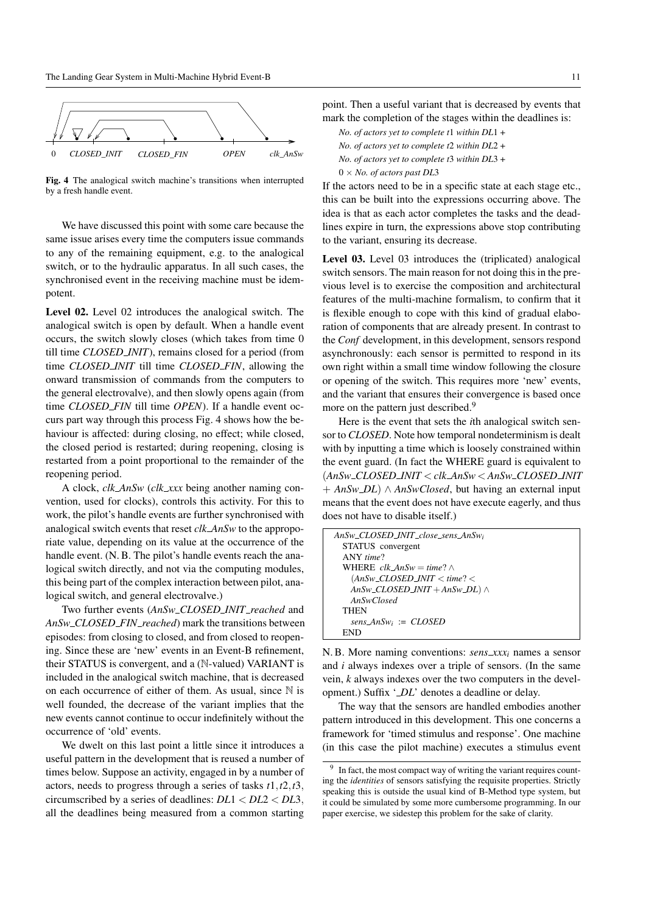

Fig. 4 The analogical switch machine's transitions when interrupted by a fresh handle event.

We have discussed this point with some care because the same issue arises every time the computers issue commands to any of the remaining equipment, e.g. to the analogical switch, or to the hydraulic apparatus. In all such cases, the synchronised event in the receiving machine must be idempotent.

Level 02. Level 02 introduces the analogical switch. The analogical switch is open by default. When a handle event occurs, the switch slowly closes (which takes from time 0 till time *CLOSED\_INIT*), remains closed for a period (from time *CLOSED INIT* till time *CLOSED FIN*, allowing the onward transmission of commands from the computers to the general electrovalve), and then slowly opens again (from time *CLOSED\_FIN* till time *OPEN*). If a handle event occurs part way through this process Fig. 4 shows how the behaviour is affected: during closing, no effect; while closed, the closed period is restarted; during reopening, closing is restarted from a point proportional to the remainder of the reopening period.

A clock, *clk AnSw* (*clk xxx* being another naming convention, used for clocks), controls this activity. For this to work, the pilot's handle events are further synchronised with analogical switch events that reset *clk AnSw* to the approporiate value, depending on its value at the occurrence of the handle event. (N. B. The pilot's handle events reach the analogical switch directly, and not via the computing modules, this being part of the complex interaction between pilot, analogical switch, and general electrovalve.)

Two further events (*AnSw CLOSED INIT reached* and *AnSw CLOSED FIN reached*) mark the transitions between episodes: from closing to closed, and from closed to reopening. Since these are 'new' events in an Event-B refinement, their STATUS is convergent, and a (N-valued) VARIANT is included in the analogical switch machine, that is decreased on each occurrence of either of them. As usual, since  $N$  is well founded, the decrease of the variant implies that the new events cannot continue to occur indefinitely without the occurrence of 'old' events.

We dwelt on this last point a little since it introduces a useful pattern in the development that is reused a number of times below. Suppose an activity, engaged in by a number of actors, needs to progress through a series of tasks *t*1,*t*2,*t*3, circumscribed by a series of deadlines: *DL*1 < *DL*2 < *DL*3, all the deadlines being measured from a common starting point. Then a useful variant that is decreased by events that mark the completion of the stages within the deadlines is:

| No. of actors vet to complete t1 within $DL1 +$   |
|---------------------------------------------------|
| No. of actors vet to complete $t2$ within $DL2 +$ |
| No. of actors vet to complete $t3$ within DL3 +   |
| $0 \times$ No. of actors past DL3                 |

If the actors need to be in a specific state at each stage etc., this can be built into the expressions occurring above. The idea is that as each actor completes the tasks and the deadlines expire in turn, the expressions above stop contributing to the variant, ensuring its decrease.

Level 03. Level 03 introduces the (triplicated) analogical switch sensors. The main reason for not doing this in the previous level is to exercise the composition and architectural features of the multi-machine formalism, to confirm that it is flexible enough to cope with this kind of gradual elaboration of components that are already present. In contrast to the *Conf* development, in this development, sensors respond asynchronously: each sensor is permitted to respond in its own right within a small time window following the closure or opening of the switch. This requires more 'new' events, and the variant that ensures their convergence is based once more on the pattern just described.<sup>9</sup>

Here is the event that sets the *i*th analogical switch sensor to *CLOSED*. Note how temporal nondeterminism is dealt with by inputting a time which is loosely constrained within the event guard. (In fact the WHERE guard is equivalent to (*AnSw CLOSED INIT* < *clk AnSw* < *AnSw CLOSED INIT* + *AnSw DL*) ∧ *AnSwClosed*, but having an external input means that the event does not have execute eagerly, and thus does not have to disable itself.)

| $An Sw\_CLOSED\_INIT\_close\_sens\_AnSw_i$ |
|--------------------------------------------|
| STATUS convergent                          |
| ANY time?                                  |
| WHERE clk $Answ = time? \wedge$            |
| $(AnSw\_CLOSED\_INIT < time? <$            |
| $AnSw\_CLOSED\_INIT + AnSw\_DL)$ $\wedge$  |
| AnSwClosed                                 |
| <b>THEN</b>                                |
| $sens\_AnSw_i := CLOSED$                   |
|                                            |

N. B. More naming conventions: *sens xxx<sup>i</sup>* names a sensor and *i* always indexes over a triple of sensors. (In the same vein, *k* always indexes over the two computers in the development.) Suffix '\_*DL*' denotes a deadline or delay.

The way that the sensors are handled embodies another pattern introduced in this development. This one concerns a framework for 'timed stimulus and response'. One machine (in this case the pilot machine) executes a stimulus event

<sup>&</sup>lt;sup>9</sup> In fact, the most compact way of writing the variant requires counting the *identities* of sensors satisfying the requisite properties. Strictly speaking this is outside the usual kind of B-Method type system, but it could be simulated by some more cumbersome programming. In our paper exercise, we sidestep this problem for the sake of clarity.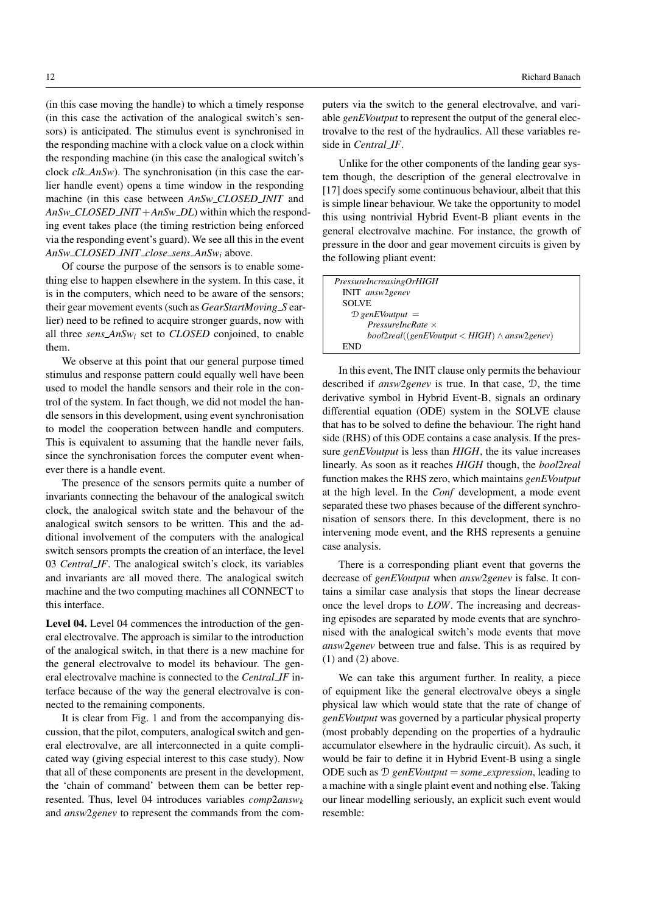(in this case moving the handle) to which a timely response (in this case the activation of the analogical switch's sensors) is anticipated. The stimulus event is synchronised in the responding machine with a clock value on a clock within the responding machine (in this case the analogical switch's clock *clk AnSw*). The synchronisation (in this case the earlier handle event) opens a time window in the responding machine (in this case between *AnSw CLOSED INIT* and *AnSw CLOSED INIT* +*AnSw DL*) within which the responding event takes place (the timing restriction being enforced via the responding event's guard). We see all this in the event *AnSw CLOSED INIT close sens AnSw<sup>i</sup>* above.

Of course the purpose of the sensors is to enable something else to happen elsewhere in the system. In this case, it is in the computers, which need to be aware of the sensors; their gear movement events (such as *GearStartMoving S* earlier) need to be refined to acquire stronger guards, now with all three *sens AnSw<sup>i</sup>* set to *CLOSED* conjoined, to enable them.

We observe at this point that our general purpose timed stimulus and response pattern could equally well have been used to model the handle sensors and their role in the control of the system. In fact though, we did not model the handle sensors in this development, using event synchronisation to model the cooperation between handle and computers. This is equivalent to assuming that the handle never fails, since the synchronisation forces the computer event whenever there is a handle event.

The presence of the sensors permits quite a number of invariants connecting the behavour of the analogical switch clock, the analogical switch state and the behavour of the analogical switch sensors to be written. This and the additional involvement of the computers with the analogical switch sensors prompts the creation of an interface, the level 03 *Central IF*. The analogical switch's clock, its variables and invariants are all moved there. The analogical switch machine and the two computing machines all CONNECT to this interface.

Level 04. Level 04 commences the introduction of the general electrovalve. The approach is similar to the introduction of the analogical switch, in that there is a new machine for the general electrovalve to model its behaviour. The general electrovalve machine is connected to the *Central IF* interface because of the way the general electrovalve is connected to the remaining components.

It is clear from Fig. 1 and from the accompanying discussion, that the pilot, computers, analogical switch and general electrovalve, are all interconnected in a quite complicated way (giving especial interest to this case study). Now that all of these components are present in the development, the 'chain of command' between them can be better represented. Thus, level 04 introduces variables *comp*2*answ<sup>k</sup>* and *answ*2*genev* to represent the commands from the computers via the switch to the general electrovalve, and variable *genEVoutput* to represent the output of the general electrovalve to the rest of the hydraulics. All these variables reside in *Central IF*.

Unlike for the other components of the landing gear system though, the description of the general electrovalve in [17] does specify some continuous behaviour, albeit that this is simple linear behaviour. We take the opportunity to model this using nontrivial Hybrid Event-B pliant events in the general electrovalve machine. For instance, the growth of pressure in the door and gear movement circuits is given by the following pliant event:

| PressureIncreasingOrHIGH                              |
|-------------------------------------------------------|
| <b>INIT</b> answ2genev                                |
| <b>SOLVE</b>                                          |
| $\mathcal{D}$ genEVoutput $=$                         |
| PressureIncRate $\times$                              |
| $bool2real((genEVoutput < HIGH) \wedge answer2genev)$ |
| END                                                   |

In this event, The INIT clause only permits the behaviour described if *answ*2*genev* is true. In that case, D, the time derivative symbol in Hybrid Event-B, signals an ordinary differential equation (ODE) system in the SOLVE clause that has to be solved to define the behaviour. The right hand side (RHS) of this ODE contains a case analysis. If the pressure *genEVoutput* is less than *HIGH*, the its value increases linearly. As soon as it reaches *HIGH* though, the *bool*2*real* function makes the RHS zero, which maintains *genEVoutput* at the high level. In the *Conf* development, a mode event separated these two phases because of the different synchronisation of sensors there. In this development, there is no intervening mode event, and the RHS represents a genuine case analysis.

There is a corresponding pliant event that governs the decrease of *genEVoutput* when *answ*2*genev* is false. It contains a similar case analysis that stops the linear decrease once the level drops to *LOW*. The increasing and decreasing episodes are separated by mode events that are synchronised with the analogical switch's mode events that move *answ*2*genev* between true and false. This is as required by (1) and (2) above.

We can take this argument further. In reality, a piece of equipment like the general electrovalve obeys a single physical law which would state that the rate of change of *genEVoutput* was governed by a particular physical property (most probably depending on the properties of a hydraulic accumulator elsewhere in the hydraulic circuit). As such, it would be fair to define it in Hybrid Event-B using a single ODE such as D *genEVoutput* = *some expression*, leading to a machine with a single plaint event and nothing else. Taking our linear modelling seriously, an explicit such event would resemble: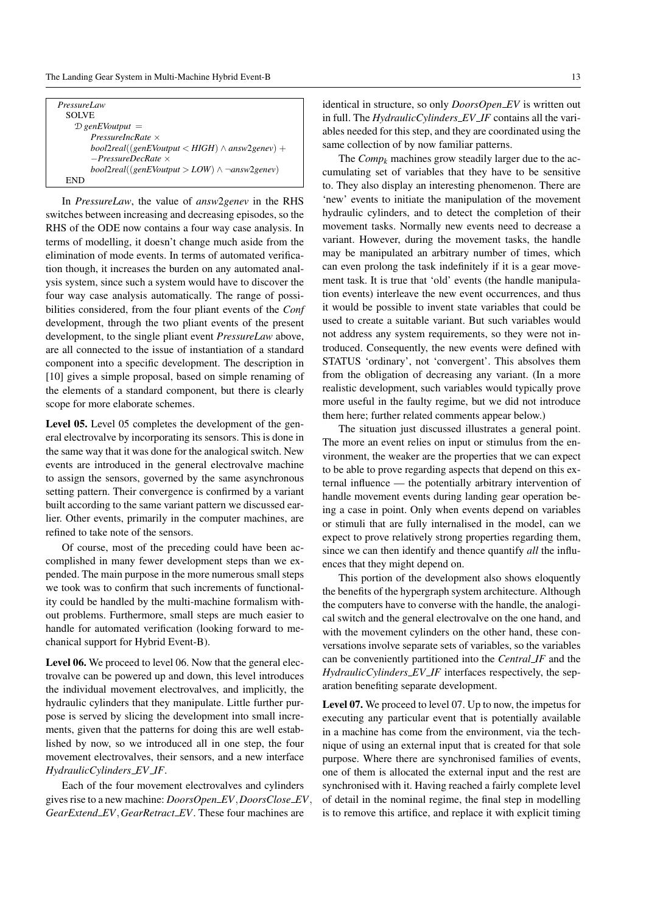In *PressureLaw*, the value of *answ*2*genev* in the RHS switches between increasing and decreasing episodes, so the RHS of the ODE now contains a four way case analysis. In terms of modelling, it doesn't change much aside from the elimination of mode events. In terms of automated verification though, it increases the burden on any automated analysis system, since such a system would have to discover the four way case analysis automatically. The range of possibilities considered, from the four pliant events of the *Conf* development, through the two pliant events of the present development, to the single pliant event *PressureLaw* above, are all connected to the issue of instantiation of a standard component into a specific development. The description in [10] gives a simple proposal, based on simple renaming of the elements of a standard component, but there is clearly scope for more elaborate schemes.

Level 05. Level 05 completes the development of the general electrovalve by incorporating its sensors. This is done in the same way that it was done for the analogical switch. New events are introduced in the general electrovalve machine to assign the sensors, governed by the same asynchronous setting pattern. Their convergence is confirmed by a variant built according to the same variant pattern we discussed earlier. Other events, primarily in the computer machines, are refined to take note of the sensors.

Of course, most of the preceding could have been accomplished in many fewer development steps than we expended. The main purpose in the more numerous small steps we took was to confirm that such increments of functionality could be handled by the multi-machine formalism without problems. Furthermore, small steps are much easier to handle for automated verification (looking forward to mechanical support for Hybrid Event-B).

Level 06. We proceed to level 06. Now that the general electrovalve can be powered up and down, this level introduces the individual movement electrovalves, and implicitly, the hydraulic cylinders that they manipulate. Little further purpose is served by slicing the development into small increments, given that the patterns for doing this are well established by now, so we introduced all in one step, the four movement electrovalves, their sensors, and a new interface *HydraulicCylinders EV IF*.

Each of the four movement electrovalves and cylinders gives rise to a new machine: *DoorsOpen EV*,*DoorsClose EV*, *GearExtend EV*,*GearRetract EV*. These four machines are

identical in structure, so only *DoorsOpen EV* is written out in full. The *HydraulicCylinders EV IF* contains all the variables needed for this step, and they are coordinated using the same collection of by now familiar patterns.

The  $Comp_k$  machines grow steadily larger due to the accumulating set of variables that they have to be sensitive to. They also display an interesting phenomenon. There are 'new' events to initiate the manipulation of the movement hydraulic cylinders, and to detect the completion of their movement tasks. Normally new events need to decrease a variant. However, during the movement tasks, the handle may be manipulated an arbitrary number of times, which can even prolong the task indefinitely if it is a gear movement task. It is true that 'old' events (the handle manipulation events) interleave the new event occurrences, and thus it would be possible to invent state variables that could be used to create a suitable variant. But such variables would not address any system requirements, so they were not introduced. Consequently, the new events were defined with STATUS 'ordinary', not 'convergent'. This absolves them from the obligation of decreasing any variant. (In a more realistic development, such variables would typically prove more useful in the faulty regime, but we did not introduce them here; further related comments appear below.)

The situation just discussed illustrates a general point. The more an event relies on input or stimulus from the environment, the weaker are the properties that we can expect to be able to prove regarding aspects that depend on this external influence — the potentially arbitrary intervention of handle movement events during landing gear operation being a case in point. Only when events depend on variables or stimuli that are fully internalised in the model, can we expect to prove relatively strong properties regarding them, since we can then identify and thence quantify *all* the influences that they might depend on.

This portion of the development also shows eloquently the benefits of the hypergraph system architecture. Although the computers have to converse with the handle, the analogical switch and the general electrovalve on the one hand, and with the movement cylinders on the other hand, these conversations involve separate sets of variables, so the variables can be conveniently partitioned into the *Central IF* and the *HydraulicCylinders EV IF* interfaces respectively, the separation benefiting separate development.

Level 07. We proceed to level 07. Up to now, the impetus for executing any particular event that is potentially available in a machine has come from the environment, via the technique of using an external input that is created for that sole purpose. Where there are synchronised families of events, one of them is allocated the external input and the rest are synchronised with it. Having reached a fairly complete level of detail in the nominal regime, the final step in modelling is to remove this artifice, and replace it with explicit timing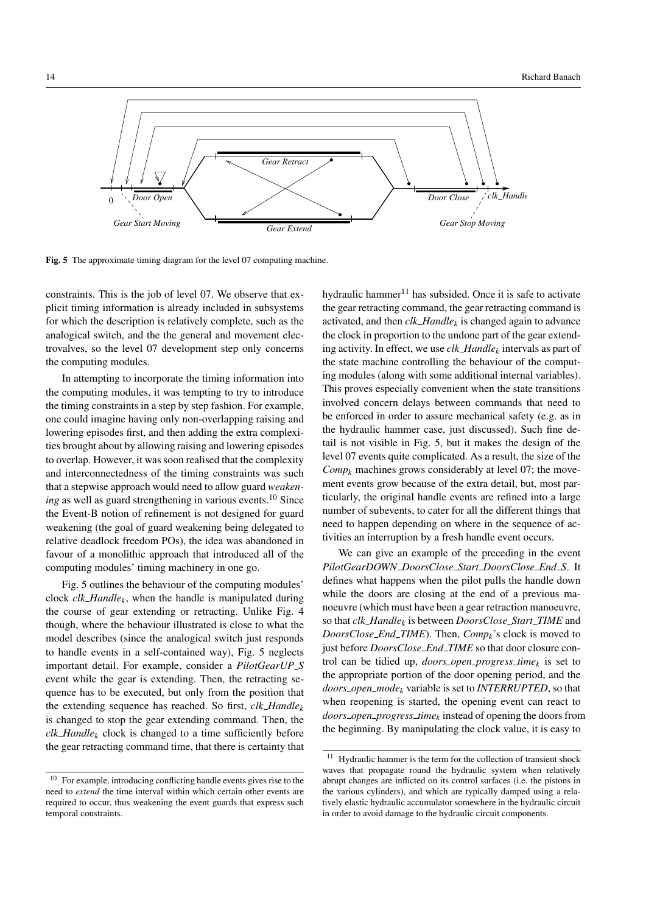

Fig. 5 The approximate timing diagram for the level 07 computing machine.

plicit timing information is already included in subsystems the ge constraints. This is the job of level 07. We observe that ex-<br>hydraulic h for which the description is relatively complete, such as the analogical switch, and the the general and movement electrovalves, so the level 07 development step only concerns the computing modules.

In attempting to incorporate the timing information into the computing modules, it was tempting to try to introduce the timing constraints in a step by step fashion. For example, one could imagine having only non-overlapping raising and lowering episodes first, and then adding the extra complexities brought about by allowing raising and lowering episodes to overlap. However, it was soon realised that the complexity and interconnectedness of the timing constraints was such that a stepwise approach would need to allow guard *weakening* as well as guard strengthening in various events.<sup>10</sup> Since the Event-B notion of refinement is not designed for guard weakening (the goal of guard weakening being delegated to relative deadlock freedom POs), the idea was abandoned in favour of a monolithic approach that introduced all of the computing modules' timing machinery in one go.

Fig. 5 outlines the behaviour of the computing modules' clock *clk Handlek*, when the handle is manipulated during the course of gear extending or retracting. Unlike Fig. 4 though, where the behaviour illustrated is close to what the model describes (since the analogical switch just responds to handle events in a self-contained way), Fig. 5 neglects important detail. For example, consider a *PilotGearUP S* event while the gear is extending. Then, the retracting sequence has to be executed, but only from the position that the extending sequence has reached. So first, *clk Handle<sup>k</sup>* is changed to stop the gear extending command. Then, the  $clk\_Handle_k$  clock is changed to a time sufficiently before the gear retracting command time, that there is certainty that

the gear retracting command, the gear retracting command is hydraulic hammer $11$  has subsided. Once it is safe to activate activated, and then  $clk\_Handle_k$  is changed again to advance the clock in proportion to the undone part of the gear extending activity. In effect, we use *clk Handle<sup>k</sup>* intervals as part of the state machine controlling the behaviour of the computing modules (along with some additional internal variables). This proves especially convenient when the state transitions involved concern delays between commands that need to be enforced in order to assure mechanical safety (e.g. as in the hydraulic hammer case, just discussed). Such fine detail is not visible in Fig. 5, but it makes the design of the level 07 events quite complicated. As a result, the size of the *Comp<sub>k</sub>* machines grows considerably at level 07; the movement events grow because of the extra detail, but, most particularly, the original handle events are refined into a large number of subevents, to cater for all the different things that need to happen depending on where in the sequence of activities an interruption by a fresh handle event occurs.

We can give an example of the preceding in the event *PilotGearDOWN DoorsClose Start DoorsClose End S*. It defines what happens when the pilot pulls the handle down while the doors are closing at the end of a previous manoeuvre (which must have been a gear retraction manoeuvre, so that *clk Handle<sup>k</sup>* is between *DoorsClose Start TIME* and *DoorsClose End TIME*). Then, *Compk*'s clock is moved to just before *DoorsClose End TIME* so that door closure control can be tidied up, *doors\_open\_progress\_time<sub>k</sub>* is set to the appropriate portion of the door opening period, and the *doors open mode<sup>k</sup>* variable is set to *INTERRUPTED*, so that when reopening is started, the opening event can react to *doors open progress time<sup>k</sup>* instead of opening the doors from the beginning. By manipulating the clock value, it is easy to

<sup>10</sup> For example, introducing conflicting handle events gives rise to the need to *extend* the time interval within which certain other events are required to occur, thus weakening the event guards that express such temporal constraints.

<sup>&</sup>lt;sup>11</sup> Hydraulic hammer is the term for the collection of transient shock waves that propagate round the hydraulic system when relatively abrupt changes are inflicted on its control surfaces (i.e. the pistons in the various cylinders), and which are typically damped using a relatively elastic hydraulic accumulator somewhere in the hydraulic circuit in order to avoid damage to the hydraulic circuit components.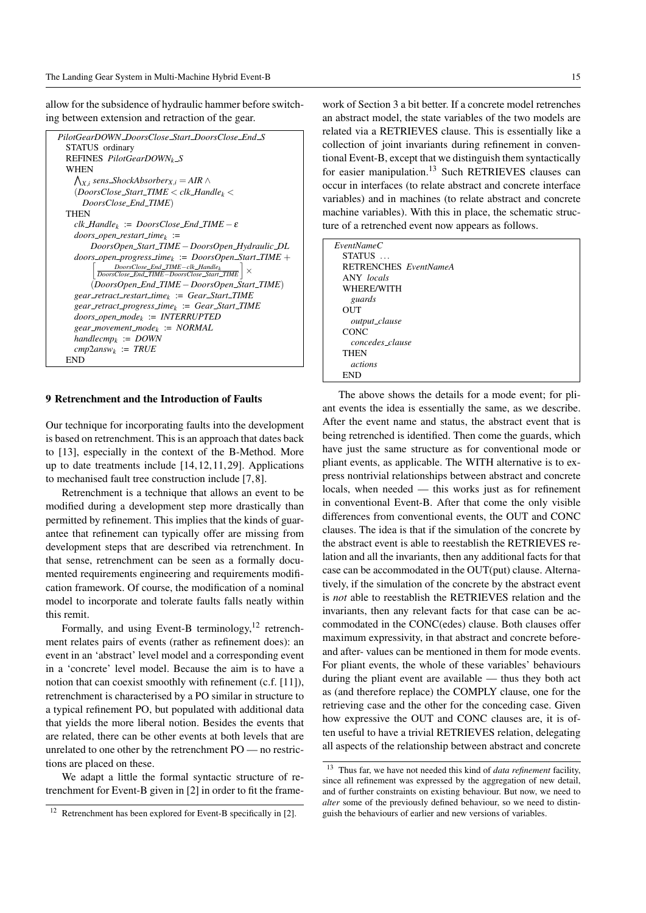allow for the subsidence of hydraulic hammer before switching between extension and retraction of the gear.



# 9 Retrenchment and the Introduction of Faults

Our technique for incorporating faults into the development is based on retrenchment. This is an approach that dates back to [13], especially in the context of the B-Method. More up to date treatments include [14, 12, 11, 29]. Applications to mechanised fault tree construction include [7, 8].

Retrenchment is a technique that allows an event to be modified during a development step more drastically than permitted by refinement. This implies that the kinds of guarantee that refinement can typically offer are missing from development steps that are described via retrenchment. In that sense, retrenchment can be seen as a formally documented requirements engineering and requirements modification framework. Of course, the modification of a nominal model to incorporate and tolerate faults falls neatly within this remit.

Formally, and using Event-B terminology, $12$  retrenchment relates pairs of events (rather as refinement does): an event in an 'abstract' level model and a corresponding event in a 'concrete' level model. Because the aim is to have a notion that can coexist smoothly with refinement (c.f. [11]), retrenchment is characterised by a PO similar in structure to a typical refinement PO, but populated with additional data that yields the more liberal notion. Besides the events that are related, there can be other events at both levels that are unrelated to one other by the retrenchment PO — no restrictions are placed on these.

We adapt a little the formal syntactic structure of retrenchment for Event-B given in [2] in order to fit the frame-

work of Section 3 a bit better. If a concrete model retrenches an abstract model, the state variables of the two models are related via a RETRIEVES clause. This is essentially like a collection of joint invariants during refinement in conventional Event-B, except that we distinguish them syntactically for easier manipulation.<sup>13</sup> Such RETRIEVES clauses can occur in interfaces (to relate abstract and concrete interface variables) and in machines (to relate abstract and concrete machine variables). With this in place, the schematic structure of a retrenched event now appears as follows.

| EventNameC            |
|-----------------------|
| STATUS                |
| RETRENCHES EventNameA |
| <b>ANY</b> locals     |
| WHERE/WITH            |
| guards                |
| OUT                   |
| output_clause         |
| CONC                  |
| concedes clause       |
| <b>THEN</b>           |
| <i>actions</i>        |
| ы                     |

The above shows the details for a mode event; for pliant events the idea is essentially the same, as we describe. After the event name and status, the abstract event that is being retrenched is identified. Then come the guards, which have just the same structure as for conventional mode or pliant events, as applicable. The WITH alternative is to express nontrivial relationships between abstract and concrete locals, when needed — this works just as for refinement in conventional Event-B. After that come the only visible differences from conventional events, the OUT and CONC clauses. The idea is that if the simulation of the concrete by the abstract event is able to reestablish the RETRIEVES relation and all the invariants, then any additional facts for that case can be accommodated in the OUT(put) clause. Alternatively, if the simulation of the concrete by the abstract event is *not* able to reestablish the RETRIEVES relation and the invariants, then any relevant facts for that case can be accommodated in the CONC(edes) clause. Both clauses offer maximum expressivity, in that abstract and concrete beforeand after- values can be mentioned in them for mode events. For pliant events, the whole of these variables' behaviours during the pliant event are available — thus they both act as (and therefore replace) the COMPLY clause, one for the retrieving case and the other for the conceding case. Given how expressive the OUT and CONC clauses are, it is often useful to have a trivial RETRIEVES relation, delegating all aspects of the relationship between abstract and concrete

<sup>&</sup>lt;sup>12</sup> Retrenchment has been explored for Event-B specifically in [2].

<sup>13</sup> Thus far, we have not needed this kind of *data refinement* facility, since all refinement was expressed by the aggregation of new detail, and of further constraints on existing behaviour. But now, we need to *alter* some of the previously defined behaviour, so we need to distinguish the behaviours of earlier and new versions of variables.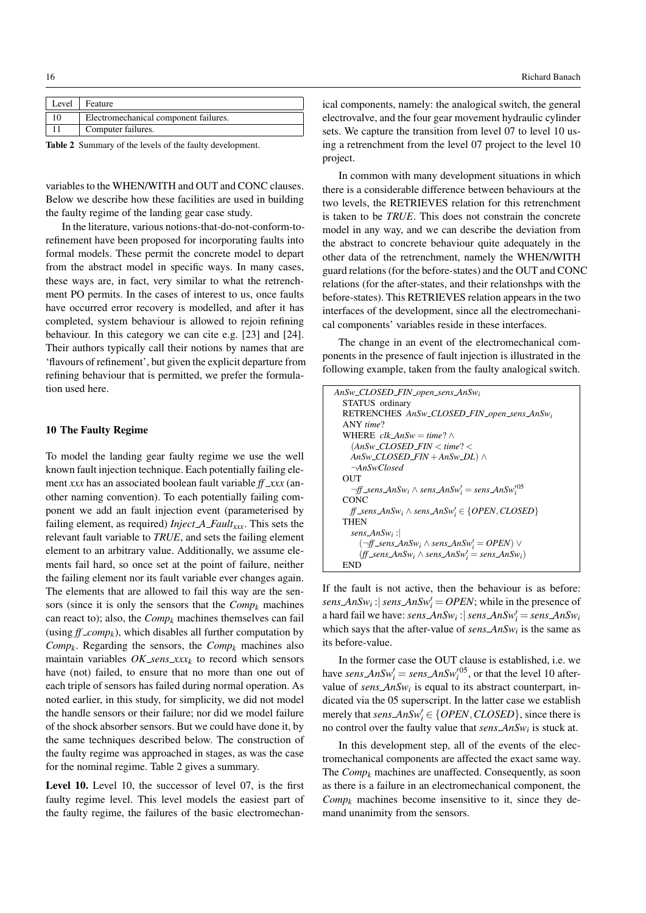| Level | Feature                               |
|-------|---------------------------------------|
|       | Electromechanical component failures. |
|       | Computer failures.                    |

Table 2 Summary of the levels of the faulty development.

variables to the WHEN/WITH and OUT and CONC clauses. Below we describe how these facilities are used in building the faulty regime of the landing gear case study.

In the literature, various notions-that-do-not-conform-torefinement have been proposed for incorporating faults into formal models. These permit the concrete model to depart from the abstract model in specific ways. In many cases, these ways are, in fact, very similar to what the retrenchment PO permits. In the cases of interest to us, once faults have occurred error recovery is modelled, and after it has completed, system behaviour is allowed to rejoin refining behaviour. In this category we can cite e.g. [23] and [24]. Their authors typically call their notions by names that are 'flavours of refinement', but given the explicit departure from refining behaviour that is permitted, we prefer the formulation used here.

#### 10 The Faulty Regime

To model the landing gear faulty regime we use the well known fault injection technique. Each potentially failing element *xxx* has an associated boolean fault variable *ff xxx* (another naming convention). To each potentially failing component we add an fault injection event (parameterised by failing element, as required) *Inject A Faultxxx*. This sets the relevant fault variable to *TRUE*, and sets the failing element element to an arbitrary value. Additionally, we assume elements fail hard, so once set at the point of failure, neither the failing element nor its fault variable ever changes again. The elements that are allowed to fail this way are the sensors (since it is only the sensors that the *Comp<sup>k</sup>* machines can react to); also, the  $Comp_k$  machines themselves can fail (using  $\oint \mathcal{L}comp_k$ ), which disables all further computation by *Compk*. Regarding the sensors, the *Comp<sup>k</sup>* machines also maintain variables  $OK\_sens\_xxx_k$  to record which sensors have (not) failed, to ensure that no more than one out of each triple of sensors has failed during normal operation. As noted earlier, in this study, for simplicity, we did not model the handle sensors or their failure; nor did we model failure of the shock absorber sensors. But we could have done it, by the same techniques described below. The construction of the faulty regime was approached in stages, as was the case for the nominal regime. Table 2 gives a summary.

Level 10. Level 10, the successor of level 07, is the first faulty regime level. This level models the easiest part of the faulty regime, the failures of the basic electromechanical components, namely: the analogical switch, the general electrovalve, and the four gear movement hydraulic cylinder sets. We capture the transition from level 07 to level 10 using a retrenchment from the level 07 project to the level 10 project.

In common with many development situations in which there is a considerable difference between behaviours at the two levels, the RETRIEVES relation for this retrenchment is taken to be *TRUE*. This does not constrain the concrete model in any way, and we can describe the deviation from the abstract to concrete behaviour quite adequately in the other data of the retrenchment, namely the WHEN/WITH guard relations (for the before-states) and the OUT and CONC relations (for the after-states, and their relationshps with the before-states). This RETRIEVES relation appears in the two interfaces of the development, since all the electromechanical components' variables reside in these interfaces.

The change in an event of the electromechanical components in the presence of fault injection is illustrated in the following example, taken from the faulty analogical switch.

| $An Sw\_CLOSED\_FIN\_open\_sens\_AnSw_i$                                                                  |
|-----------------------------------------------------------------------------------------------------------|
| STATUS ordinary                                                                                           |
| RETRENCHES AnSw_CLOSED_FIN_open_sens_AnSwi                                                                |
| ANY time?                                                                                                 |
| WHERE $clk\_Answ = time? \wedge$                                                                          |
| $(AnSw\_CLOSED\_FIN < time? <$                                                                            |
| $AnSw\_CLOSED\_FIN + AnSw\_DL)$ $\wedge$                                                                  |
| $\neg AnSwClosed$                                                                                         |
| OUT                                                                                                       |
| $\neg$ ff_sens_AnSw <sub>i</sub> $\wedge$ sens_AnSw' <sub>i</sub> = sens_AnSw' <sub>i</sub> <sup>05</sup> |
| CONC                                                                                                      |
| ff_sens_AnSw <sub>i</sub> $\land$ sens_AnSw' <sub>i</sub> $\in$ {OPEN, CLOSED}                            |
| THEN                                                                                                      |
| sens_AnS $w_i$ :                                                                                          |
| $(\neg ff\_sens\_AnSw_i \land sens\_AnSw_i' = OPEN)$ $\vee$                                               |
| $(f_f\_{sens\_AnSw_i \wedge sens\_AnSw'_i = sens\_AnSw_i)$                                                |
| END.                                                                                                      |

If the fault is not active, then the behaviour is as before:  $sens\_AnsW_i$ :  $| sens\_AnsW_i' = OPER$ ; while in the presence of a hard fail we have:  $sens\_AnSw_i$ :  $| sens\_AnSw'_i = sens\_AnSw_i$ which says that the after-value of  $sens\_AnSw_i$  is the same as its before-value.

In the former case the OUT clause is established, i.e. we have  $sens\_{ANSw'_i} = sens\_{ANSw'^{05}_i}$ , or that the level 10 aftervalue of *sens\_AnSw<sub>i</sub>* is equal to its abstract counterpart, indicated via the 05 superscript. In the latter case we establish merely that  $sens\_{ANSW_i'} \in \{OPEN, CLOSED\}$ , since there is no control over the faulty value that *sens AnSw<sup>i</sup>* is stuck at.

In this development step, all of the events of the electromechanical components are affected the exact same way. The *Comp<sup>k</sup>* machines are unaffected. Consequently, as soon as there is a failure in an electromechanical component, the  $Comp_k$  machines become insensitive to it, since they demand unanimity from the sensors.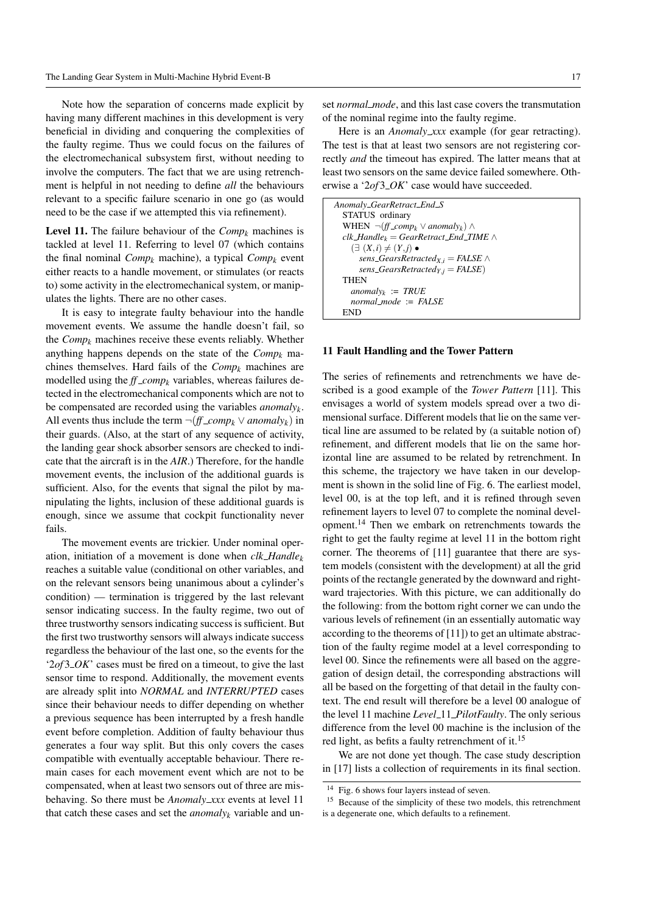Note how the separation of concerns made explicit by having many different machines in this development is very beneficial in dividing and conquering the complexities of the faulty regime. Thus we could focus on the failures of the electromechanical subsystem first, without needing to involve the computers. The fact that we are using retrenchment is helpful in not needing to define *all* the behaviours relevant to a specific failure scenario in one go (as would need to be the case if we attempted this via refinement).

**Level 11.** The failure behaviour of the  $Comp_k$  machines is tackled at level 11. Referring to level 07 (which contains the final nominal  $Comp_k$  machine), a typical  $Comp_k$  event either reacts to a handle movement, or stimulates (or reacts to) some activity in the electromechanical system, or manipulates the lights. There are no other cases.

It is easy to integrate faulty behaviour into the handle movement events. We assume the handle doesn't fail, so the  $Comp_k$  machines receive these events reliably. Whether anything happens depends on the state of the *Comp<sup>k</sup>* machines themselves. Hard fails of the *Comp<sup>k</sup>* machines are modelled using the  $ff\_comp_k$  variables, whereas failures detected in the electromechanical components which are not to be compensated are recorded using the variables *anomalyk*. All events thus include the term  $\neg(f\_{comp_k} \lor anomaly_k)$  in their guards. (Also, at the start of any sequence of activity, the landing gear shock absorber sensors are checked to indicate that the aircraft is in the *AIR*.) Therefore, for the handle movement events, the inclusion of the additional guards is sufficient. Also, for the events that signal the pilot by manipulating the lights, inclusion of these additional guards is enough, since we assume that cockpit functionality never fails.

The movement events are trickier. Under nominal operation, initiation of a movement is done when *clk Handle<sup>k</sup>* reaches a suitable value (conditional on other variables, and on the relevant sensors being unanimous about a cylinder's condition) — termination is triggered by the last relevant sensor indicating success. In the faulty regime, two out of three trustworthy sensors indicating success is sufficient. But the first two trustworthy sensors will always indicate success regardless the behaviour of the last one, so the events for the '2*of* 3 *OK*' cases must be fired on a timeout, to give the last sensor time to respond. Additionally, the movement events are already split into *NORMAL* and *INTERRUPTED* cases since their behaviour needs to differ depending on whether a previous sequence has been interrupted by a fresh handle event before completion. Addition of faulty behaviour thus generates a four way split. But this only covers the cases compatible with eventually acceptable behaviour. There remain cases for each movement event which are not to be compensated, when at least two sensors out of three are misbehaving. So there must be *Anomaly xxx* events at level 11 that catch these cases and set the  $anomaly_k$  variable and unset *normal mode*, and this last case covers the transmutation of the nominal regime into the faulty regime.

Here is an *Anomaly\_xxx* example (for gear retracting). The test is that at least two sensors are not registering correctly *and* the timeout has expired. The latter means that at least two sensors on the same device failed somewhere. Otherwise a '2*of* 3\_*OK*' case would have succeeded.

*Anomaly GearRetract End S* STATUS ordinary WHEN  $\neg(f \text{\_comp}_k \lor \text{anomaly}_k) \land$  $clk$   $H$ *andle<sub>k</sub>* = *GearRetract*  $\mathcal{L}$ *End*  $\mathcal{L}$ *TIME* ∧  $(\exists (X,i) \neq (Y,j))$  $sens_GearsRetracted_{X,i} = FALSE \wedge$ *sens GearsRetractedY*,*<sup>j</sup>* = *FALSE*) **THEN** *anomaly<sup>k</sup>* := *TRUE normal mode* := *FALSE* END

## 11 Fault Handling and the Tower Pattern

The series of refinements and retrenchments we have described is a good example of the *Tower Pattern* [11]. This envisages a world of system models spread over a two dimensional surface. Different models that lie on the same vertical line are assumed to be related by (a suitable notion of) refinement, and different models that lie on the same horizontal line are assumed to be related by retrenchment. In this scheme, the trajectory we have taken in our development is shown in the solid line of Fig. 6. The earliest model, level 00, is at the top left, and it is refined through seven refinement layers to level 07 to complete the nominal development.<sup>14</sup> Then we embark on retrenchments towards the right to get the faulty regime at level 11 in the bottom right corner. The theorems of [11] guarantee that there are system models (consistent with the development) at all the grid points of the rectangle generated by the downward and rightward trajectories. With this picture, we can additionally do the following: from the bottom right corner we can undo the various levels of refinement (in an essentially automatic way according to the theorems of [11]) to get an ultimate abstraction of the faulty regime model at a level corresponding to level 00. Since the refinements were all based on the aggregation of design detail, the corresponding abstractions will all be based on the forgetting of that detail in the faulty context. The end result will therefore be a level 00 analogue of the level 11 machine *Level* 11 *PilotFaulty*. The only serious difference from the level 00 machine is the inclusion of the red light, as befits a faulty retrenchment of it.<sup>15</sup>

We are not done yet though. The case study description in [17] lists a collection of requirements in its final section.

<sup>&</sup>lt;sup>14</sup> Fig. 6 shows four layers instead of seven.

<sup>&</sup>lt;sup>15</sup> Because of the simplicity of these two models, this retrenchment is a degenerate one, which defaults to a refinement.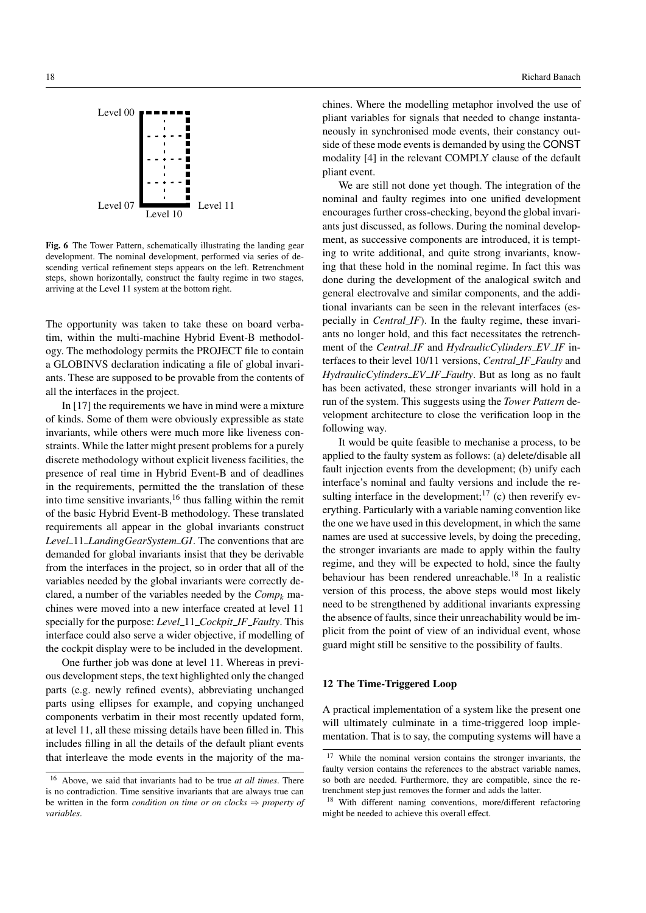

Fig. 6 The Tower Pattern, schematically illustrating the landing gear development. The nominal development, performed via series of descending vertical refinement steps appears on the left. Retrenchment steps, shown horizontally, construct the faulty regime in two stages, arriving at the Level 11 system at the bottom right.

The opportunity was taken to take these on board verbatim, within the multi-machine Hybrid Event-B methodology. The methodology permits the PROJECT file to contain a GLOBINVS declaration indicating a file of global invariants. These are supposed to be provable from the contents of all the interfaces in the project.

In [17] the requirements we have in mind were a mixture of kinds. Some of them were obviously expressible as state invariants, while others were much more like liveness constraints. While the latter might present problems for a purely discrete methodology without explicit liveness facilities, the presence of real time in Hybrid Event-B and of deadlines in the requirements, permitted the the translation of these into time sensitive invariants,<sup>16</sup> thus falling within the remit of the basic Hybrid Event-B methodology. These translated requirements all appear in the global invariants construct *Level* 11 *LandingGearSystem GI*. The conventions that are demanded for global invariants insist that they be derivable from the interfaces in the project, so in order that all of the variables needed by the global invariants were correctly declared, a number of the variables needed by the *Comp<sup>k</sup>* machines were moved into a new interface created at level 11 specially for the purpose: *Level* 11 *Cockpit IF Faulty*. This interface could also serve a wider objective, if modelling of the cockpit display were to be included in the development.

One further job was done at level 11. Whereas in previous development steps, the text highlighted only the changed parts (e.g. newly refined events), abbreviating unchanged parts using ellipses for example, and copying unchanged components verbatim in their most recently updated form, at level 11, all these missing details have been filled in. This includes filling in all the details of the default pliant events that interleave the mode events in the majority of the machines. Where the modelling metaphor involved the use of pliant variables for signals that needed to change instantaneously in synchronised mode events, their constancy outside of these mode events is demanded by using the CONST modality [4] in the relevant COMPLY clause of the default pliant event.

We are still not done yet though. The integration of the nominal and faulty regimes into one unified development encourages further cross-checking, beyond the global invariants just discussed, as follows. During the nominal development, as successive components are introduced, it is tempting to write additional, and quite strong invariants, knowing that these hold in the nominal regime. In fact this was done during the development of the analogical switch and general electrovalve and similar components, and the additional invariants can be seen in the relevant interfaces (especially in *Central IF*). In the faulty regime, these invariants no longer hold, and this fact necessitates the retrenchment of the *Central IF* and *HydraulicCylinders EV IF* interfaces to their level 10/11 versions, *Central IF Faulty* and *HydraulicCylinders EV IF Faulty*. But as long as no fault has been activated, these stronger invariants will hold in a run of the system. This suggests using the *Tower Pattern* development architecture to close the verification loop in the following way.

It would be quite feasible to mechanise a process, to be applied to the faulty system as follows: (a) delete/disable all fault injection events from the development; (b) unify each interface's nominal and faulty versions and include the resulting interface in the development;<sup>17</sup> (c) then reverify everything. Particularly with a variable naming convention like the one we have used in this development, in which the same names are used at successive levels, by doing the preceding, the stronger invariants are made to apply within the faulty regime, and they will be expected to hold, since the faulty behaviour has been rendered unreachable.<sup>18</sup> In a realistic version of this process, the above steps would most likely need to be strengthened by additional invariants expressing the absence of faults, since their unreachability would be implicit from the point of view of an individual event, whose guard might still be sensitive to the possibility of faults.

# 12 The Time-Triggered Loop

A practical implementation of a system like the present one will ultimately culminate in a time-triggered loop implementation. That is to say, the computing systems will have a

<sup>16</sup> Above, we said that invariants had to be true *at all times*. There is no contradiction. Time sensitive invariants that are always true can be written in the form *condition on time or on clocks*  $\Rightarrow$  *property of variables*.

<sup>&</sup>lt;sup>17</sup> While the nominal version contains the stronger invariants, the faulty version contains the references to the abstract variable names, so both are needed. Furthermore, they are compatible, since the retrenchment step just removes the former and adds the latter.

<sup>18</sup> With different naming conventions, more/different refactoring might be needed to achieve this overall effect.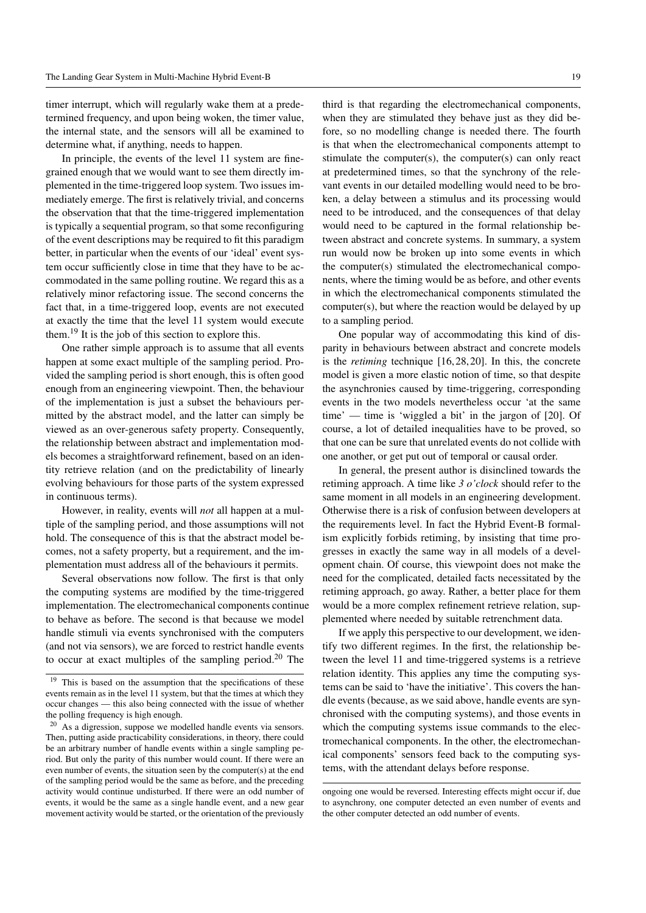timer interrupt, which will regularly wake them at a predetermined frequency, and upon being woken, the timer value, the internal state, and the sensors will all be examined to determine what, if anything, needs to happen.

In principle, the events of the level 11 system are finegrained enough that we would want to see them directly implemented in the time-triggered loop system. Two issues immediately emerge. The first is relatively trivial, and concerns the observation that that the time-triggered implementation is typically a sequential program, so that some reconfiguring of the event descriptions may be required to fit this paradigm better, in particular when the events of our 'ideal' event system occur sufficiently close in time that they have to be accommodated in the same polling routine. We regard this as a relatively minor refactoring issue. The second concerns the fact that, in a time-triggered loop, events are not executed at exactly the time that the level 11 system would execute them.<sup>19</sup> It is the job of this section to explore this.

One rather simple approach is to assume that all events happen at some exact multiple of the sampling period. Provided the sampling period is short enough, this is often good enough from an engineering viewpoint. Then, the behaviour of the implementation is just a subset the behaviours permitted by the abstract model, and the latter can simply be viewed as an over-generous safety property. Consequently, the relationship between abstract and implementation models becomes a straightforward refinement, based on an identity retrieve relation (and on the predictability of linearly evolving behaviours for those parts of the system expressed in continuous terms).

However, in reality, events will *not* all happen at a multiple of the sampling period, and those assumptions will not hold. The consequence of this is that the abstract model becomes, not a safety property, but a requirement, and the implementation must address all of the behaviours it permits.

Several observations now follow. The first is that only the computing systems are modified by the time-triggered implementation. The electromechanical components continue to behave as before. The second is that because we model handle stimuli via events synchronised with the computers (and not via sensors), we are forced to restrict handle events to occur at exact multiples of the sampling period.<sup>20</sup> The

third is that regarding the electromechanical components, when they are stimulated they behave just as they did before, so no modelling change is needed there. The fourth is that when the electromechanical components attempt to stimulate the computer(s), the computer(s) can only react at predetermined times, so that the synchrony of the relevant events in our detailed modelling would need to be broken, a delay between a stimulus and its processing would need to be introduced, and the consequences of that delay would need to be captured in the formal relationship between abstract and concrete systems. In summary, a system run would now be broken up into some events in which the computer(s) stimulated the electromechanical components, where the timing would be as before, and other events in which the electromechanical components stimulated the computer(s), but where the reaction would be delayed by up to a sampling period.

One popular way of accommodating this kind of disparity in behaviours between abstract and concrete models is the *retiming* technique [16, 28, 20]. In this, the concrete model is given a more elastic notion of time, so that despite the asynchronies caused by time-triggering, corresponding events in the two models nevertheless occur 'at the same time' — time is 'wiggled a bit' in the jargon of [20]. Of course, a lot of detailed inequalities have to be proved, so that one can be sure that unrelated events do not collide with one another, or get put out of temporal or causal order.

In general, the present author is disinclined towards the retiming approach. A time like *3 o'clock* should refer to the same moment in all models in an engineering development. Otherwise there is a risk of confusion between developers at the requirements level. In fact the Hybrid Event-B formalism explicitly forbids retiming, by insisting that time progresses in exactly the same way in all models of a development chain. Of course, this viewpoint does not make the need for the complicated, detailed facts necessitated by the retiming approach, go away. Rather, a better place for them would be a more complex refinement retrieve relation, supplemented where needed by suitable retrenchment data.

If we apply this perspective to our development, we identify two different regimes. In the first, the relationship between the level 11 and time-triggered systems is a retrieve relation identity. This applies any time the computing systems can be said to 'have the initiative'. This covers the handle events (because, as we said above, handle events are synchronised with the computing systems), and those events in which the computing systems issue commands to the electromechanical components. In the other, the electromechanical components' sensors feed back to the computing systems, with the attendant delays before response.

<sup>&</sup>lt;sup>19</sup> This is based on the assumption that the specifications of these events remain as in the level 11 system, but that the times at which they occur changes — this also being connected with the issue of whether the polling frequency is high enough.

<sup>&</sup>lt;sup>20</sup> As a digression, suppose we modelled handle events via sensors. Then, putting aside practicability considerations, in theory, there could be an arbitrary number of handle events within a single sampling period. But only the parity of this number would count. If there were an even number of events, the situation seen by the computer(s) at the end of the sampling period would be the same as before, and the preceding activity would continue undisturbed. If there were an odd number of events, it would be the same as a single handle event, and a new gear movement activity would be started, or the orientation of the previously

ongoing one would be reversed. Interesting effects might occur if, due to asynchrony, one computer detected an even number of events and the other computer detected an odd number of events.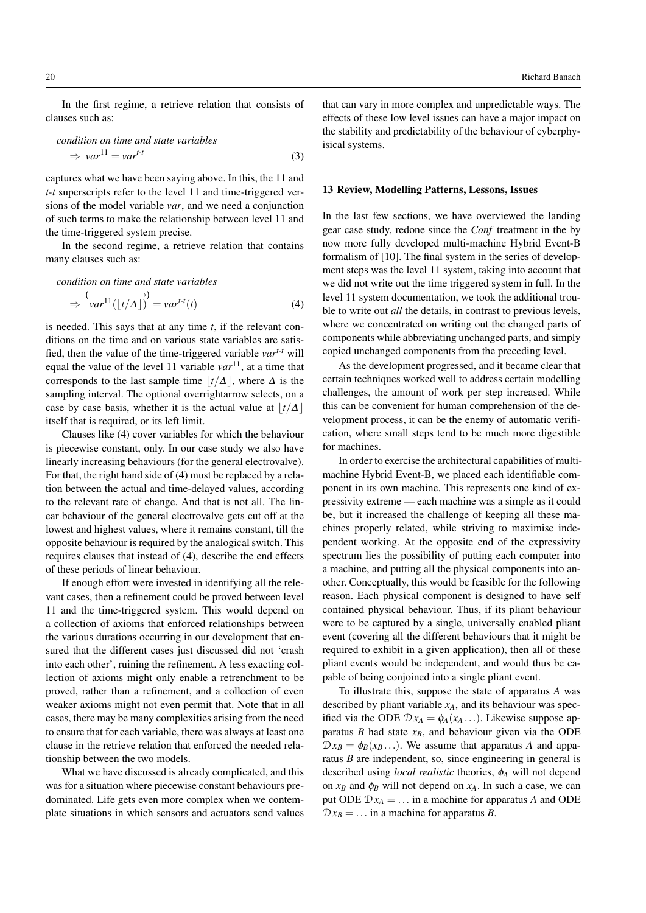In the first regime, a retrieve relation that consists of clauses such as:

condition on time and state variables  
\n
$$
\Rightarrow var^{11} = var^{t-t}
$$
\n(3)

captures what we have been saying above. In this, the 11 and *t-t* superscripts refer to the level 11 and time-triggered versions of the model variable *var*, and we need a conjunction of such terms to make the relationship between level 11 and the time-triggered system precise.

In the second regime, a retrieve relation that contains many clauses such as:

condition on time and state variables  
\n
$$
\Rightarrow \frac{(-\text{exp}^{11}([t/\Delta]))}{var^{11}([t/\Delta]))} = var^{t-t}(t)
$$
\n(4)

is needed. This says that at any time *t*, if the relevant conditions on the time and on various state variables are satisfied, then the value of the time-triggered variable *vart-t* will equal the value of the level 11 variable  $var^{11}$ , at a time that corresponds to the last sample time  $|t/\Delta|$ , where  $\Delta$  is the sampling interval. The optional overrightarrow selects, on a case by case basis, whether it is the actual value at  $\frac{t}{\Delta}$ itself that is required, or its left limit.

Clauses like (4) cover variables for which the behaviour is piecewise constant, only. In our case study we also have linearly increasing behaviours (for the general electrovalve). For that, the right hand side of (4) must be replaced by a relation between the actual and time-delayed values, according to the relevant rate of change. And that is not all. The linear behaviour of the general electrovalve gets cut off at the lowest and highest values, where it remains constant, till the opposite behaviour is required by the analogical switch. This requires clauses that instead of (4), describe the end effects of these periods of linear behaviour.

If enough effort were invested in identifying all the relevant cases, then a refinement could be proved between level 11 and the time-triggered system. This would depend on a collection of axioms that enforced relationships between the various durations occurring in our development that ensured that the different cases just discussed did not 'crash into each other', ruining the refinement. A less exacting collection of axioms might only enable a retrenchment to be proved, rather than a refinement, and a collection of even weaker axioms might not even permit that. Note that in all cases, there may be many complexities arising from the need to ensure that for each variable, there was always at least one clause in the retrieve relation that enforced the needed relationship between the two models.

What we have discussed is already complicated, and this was for a situation where piecewise constant behaviours predominated. Life gets even more complex when we contemplate situations in which sensors and actuators send values

that can vary in more complex and unpredictable ways. The effects of these low level issues can have a major impact on the stability and predictability of the behaviour of cyberphyisical systems.

#### 13 Review, Modelling Patterns, Lessons, Issues

In the last few sections, we have overviewed the landing gear case study, redone since the *Conf* treatment in the by now more fully developed multi-machine Hybrid Event-B formalism of [10]. The final system in the series of development steps was the level 11 system, taking into account that we did not write out the time triggered system in full. In the level 11 system documentation, we took the additional trouble to write out *all* the details, in contrast to previous levels, where we concentrated on writing out the changed parts of components while abbreviating unchanged parts, and simply copied unchanged components from the preceding level.

As the development progressed, and it became clear that certain techniques worked well to address certain modelling challenges, the amount of work per step increased. While this can be convenient for human comprehension of the development process, it can be the enemy of automatic verification, where small steps tend to be much more digestible for machines.

In order to exercise the architectural capabilities of multimachine Hybrid Event-B, we placed each identifiable component in its own machine. This represents one kind of expressivity extreme — each machine was a simple as it could be, but it increased the challenge of keeping all these machines properly related, while striving to maximise independent working. At the opposite end of the expressivity spectrum lies the possibility of putting each computer into a machine, and putting all the physical components into another. Conceptually, this would be feasible for the following reason. Each physical component is designed to have self contained physical behaviour. Thus, if its pliant behaviour were to be captured by a single, universally enabled pliant event (covering all the different behaviours that it might be required to exhibit in a given application), then all of these pliant events would be independent, and would thus be capable of being conjoined into a single pliant event.

To illustrate this, suppose the state of apparatus *A* was described by pliant variable *xA*, and its behaviour was specified via the ODE  $\mathcal{D}x_A = \phi_A(x_A \dots)$ . Likewise suppose apparatus *B* had state  $x_B$ , and behaviour given via the ODE  $\mathcal{D}x_B = \phi_B(x_B \dots)$ . We assume that apparatus *A* and apparatus *B* are independent, so, since engineering in general is described using *local realistic* theories, φ*<sup>A</sup>* will not depend on  $x_B$  and  $\phi_B$  will not depend on  $x_A$ . In such a case, we can put ODE  $\mathcal{D}x_A = \ldots$  in a machine for apparatus *A* and ODE  $Dx_B = \ldots$  in a machine for apparatus *B*.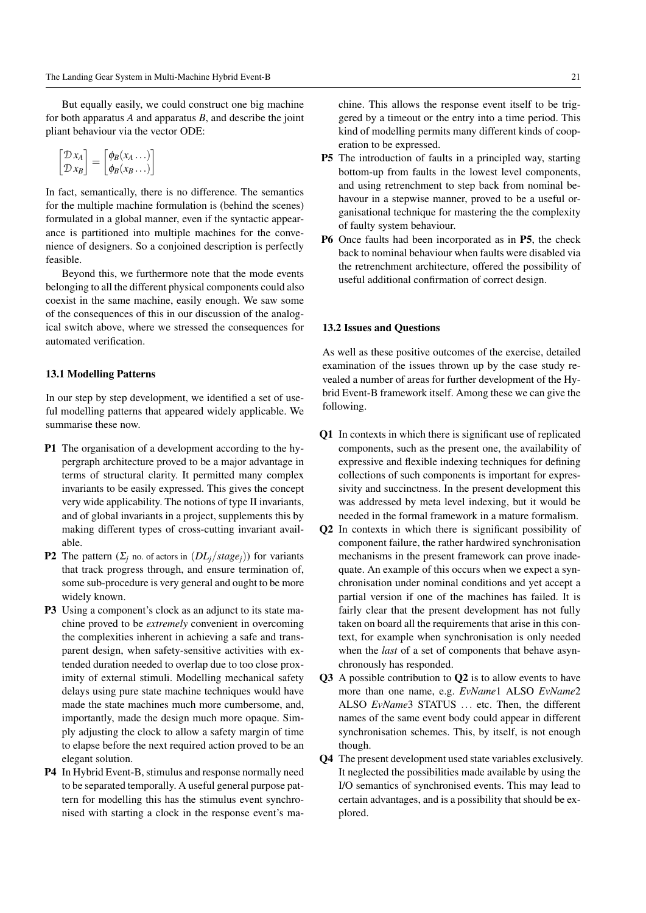But equally easily, we could construct one big machine for both apparatus *A* and apparatus *B*, and describe the joint pliant behaviour via the vector ODE:

$$
\begin{bmatrix} \mathcal{D} x_A \\ \mathcal{D} x_B \end{bmatrix} = \begin{bmatrix} \phi_B(x_A \dots) \\ \phi_B(x_B \dots) \end{bmatrix}
$$

In fact, semantically, there is no difference. The semantics for the multiple machine formulation is (behind the scenes) formulated in a global manner, even if the syntactic appearance is partitioned into multiple machines for the convenience of designers. So a conjoined description is perfectly feasible.

Beyond this, we furthermore note that the mode events belonging to all the different physical components could also coexist in the same machine, easily enough. We saw some of the consequences of this in our discussion of the analogical switch above, where we stressed the consequences for automated verification.

# 13.1 Modelling Patterns

In our step by step development, we identified a set of useful modelling patterns that appeared widely applicable. We summarise these now.

- P1 The organisation of a development according to the hypergraph architecture proved to be a major advantage in terms of structural clarity. It permitted many complex invariants to be easily expressed. This gives the concept very wide applicability. The notions of type II invariants, and of global invariants in a project, supplements this by making different types of cross-cutting invariant available.
- **P2** The pattern ( $\Sigma$ *j* no. of actors in  $(DL_j / stage_j)$ ) for variants that track progress through, and ensure termination of, some sub-procedure is very general and ought to be more widely known.
- P3 Using a component's clock as an adjunct to its state machine proved to be *extremely* convenient in overcoming the complexities inherent in achieving a safe and transparent design, when safety-sensitive activities with extended duration needed to overlap due to too close proximity of external stimuli. Modelling mechanical safety delays using pure state machine techniques would have made the state machines much more cumbersome, and, importantly, made the design much more opaque. Simply adjusting the clock to allow a safety margin of time to elapse before the next required action proved to be an elegant solution.
- P4 In Hybrid Event-B, stimulus and response normally need to be separated temporally. A useful general purpose pattern for modelling this has the stimulus event synchronised with starting a clock in the response event's ma-

chine. This allows the response event itself to be triggered by a timeout or the entry into a time period. This kind of modelling permits many different kinds of cooperation to be expressed.

- P5 The introduction of faults in a principled way, starting bottom-up from faults in the lowest level components, and using retrenchment to step back from nominal behavour in a stepwise manner, proved to be a useful organisational technique for mastering the the complexity of faulty system behaviour.
- P6 Once faults had been incorporated as in P5, the check back to nominal behaviour when faults were disabled via the retrenchment architecture, offered the possibility of useful additional confirmation of correct design.

#### 13.2 Issues and Questions

As well as these positive outcomes of the exercise, detailed examination of the issues thrown up by the case study revealed a number of areas for further development of the Hybrid Event-B framework itself. Among these we can give the following.

- Q1 In contexts in which there is significant use of replicated components, such as the present one, the availability of expressive and flexible indexing techniques for defining collections of such components is important for expressivity and succinctness. In the present development this was addressed by meta level indexing, but it would be needed in the formal framework in a mature formalism.
- Q2 In contexts in which there is significant possibility of component failure, the rather hardwired synchronisation mechanisms in the present framework can prove inadequate. An example of this occurs when we expect a synchronisation under nominal conditions and yet accept a partial version if one of the machines has failed. It is fairly clear that the present development has not fully taken on board all the requirements that arise in this context, for example when synchronisation is only needed when the *last* of a set of components that behave asynchronously has responded.
- Q3 A possible contribution to Q2 is to allow events to have more than one name, e.g. *EvName*1 ALSO *EvName*2 ALSO *EvName*3 STATUS ... etc. Then, the different names of the same event body could appear in different synchronisation schemes. This, by itself, is not enough though.
- Q4 The present development used state variables exclusively. It neglected the possibilities made available by using the I/O semantics of synchronised events. This may lead to certain advantages, and is a possibility that should be explored.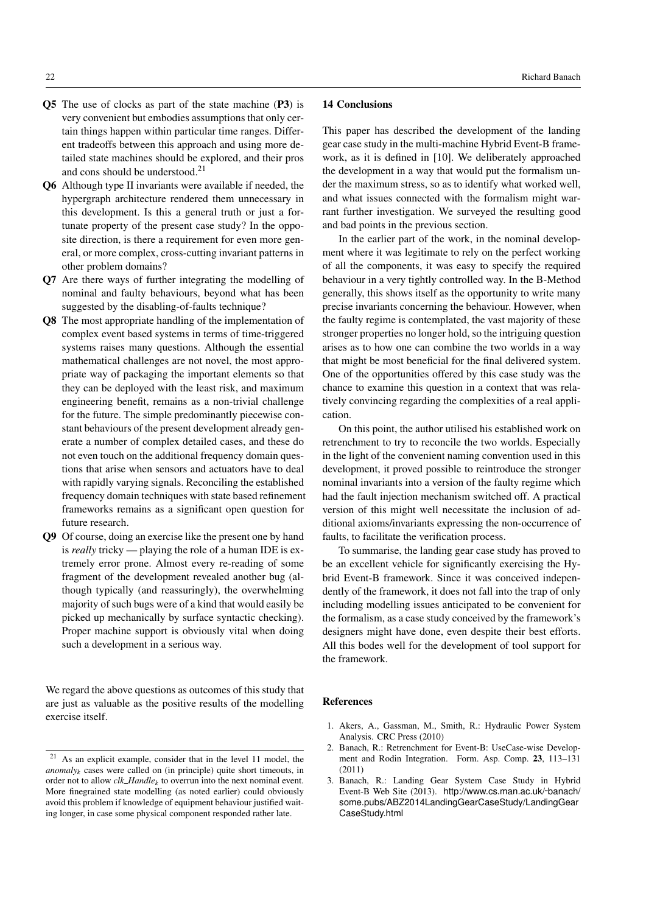- Q5 The use of clocks as part of the state machine (P3) is very convenient but embodies assumptions that only certain things happen within particular time ranges. Different tradeoffs between this approach and using more detailed state machines should be explored, and their pros and cons should be understood.<sup>21</sup>
- Q6 Although type II invariants were available if needed, the hypergraph architecture rendered them unnecessary in this development. Is this a general truth or just a fortunate property of the present case study? In the opposite direction, is there a requirement for even more general, or more complex, cross-cutting invariant patterns in other problem domains?
- Q7 Are there ways of further integrating the modelling of nominal and faulty behaviours, beyond what has been suggested by the disabling-of-faults technique?
- Q8 The most appropriate handling of the implementation of complex event based systems in terms of time-triggered systems raises many questions. Although the essential mathematical challenges are not novel, the most appropriate way of packaging the important elements so that they can be deployed with the least risk, and maximum engineering benefit, remains as a non-trivial challenge for the future. The simple predominantly piecewise constant behaviours of the present development already generate a number of complex detailed cases, and these do not even touch on the additional frequency domain questions that arise when sensors and actuators have to deal with rapidly varying signals. Reconciling the established frequency domain techniques with state based refinement frameworks remains as a significant open question for future research.
- Q9 Of course, doing an exercise like the present one by hand is *really* tricky — playing the role of a human IDE is extremely error prone. Almost every re-reading of some fragment of the development revealed another bug (although typically (and reassuringly), the overwhelming majority of such bugs were of a kind that would easily be picked up mechanically by surface syntactic checking). Proper machine support is obviously vital when doing such a development in a serious way.

We regard the above questions as outcomes of this study that are just as valuable as the positive results of the modelling exercise itself.

## 14 Conclusions

This paper has described the development of the landing gear case study in the multi-machine Hybrid Event-B framework, as it is defined in [10]. We deliberately approached the development in a way that would put the formalism under the maximum stress, so as to identify what worked well, and what issues connected with the formalism might warrant further investigation. We surveyed the resulting good and bad points in the previous section.

In the earlier part of the work, in the nominal development where it was legitimate to rely on the perfect working of all the components, it was easy to specify the required behaviour in a very tightly controlled way. In the B-Method generally, this shows itself as the opportunity to write many precise invariants concerning the behaviour. However, when the faulty regime is contemplated, the vast majority of these stronger properties no longer hold, so the intriguing question arises as to how one can combine the two worlds in a way that might be most beneficial for the final delivered system. One of the opportunities offered by this case study was the chance to examine this question in a context that was relatively convincing regarding the complexities of a real application.

On this point, the author utilised his established work on retrenchment to try to reconcile the two worlds. Especially in the light of the convenient naming convention used in this development, it proved possible to reintroduce the stronger nominal invariants into a version of the faulty regime which had the fault injection mechanism switched off. A practical version of this might well necessitate the inclusion of additional axioms/invariants expressing the non-occurrence of faults, to facilitate the verification process.

To summarise, the landing gear case study has proved to be an excellent vehicle for significantly exercising the Hybrid Event-B framework. Since it was conceived independently of the framework, it does not fall into the trap of only including modelling issues anticipated to be convenient for the formalism, as a case study conceived by the framework's designers might have done, even despite their best efforts. All this bodes well for the development of tool support for the framework.

#### References

- 1. Akers, A., Gassman, M., Smith, R.: Hydraulic Power System Analysis. CRC Press (2010)
- 2. Banach, R.: Retrenchment for Event-B: UseCase-wise Development and Rodin Integration. Form. Asp. Comp. 23, 113–131 (2011)
- 3. Banach, R.: Landing Gear System Case Study in Hybrid Event-B Web Site (2013). http://www.cs.man.ac.uk/-banach/ some.pubs/ABZ2014LandingGearCaseStudy/LandingGear CaseStudy.html

<sup>21</sup> As an explicit example, consider that in the level 11 model, the *anomaly<sub>k</sub>* cases were called on (in principle) quite short timeouts, in order not to allow *clk Handle<sup>k</sup>* to overrun into the next nominal event. More finegrained state modelling (as noted earlier) could obviously avoid this problem if knowledge of equipment behaviour justified waiting longer, in case some physical component responded rather late.